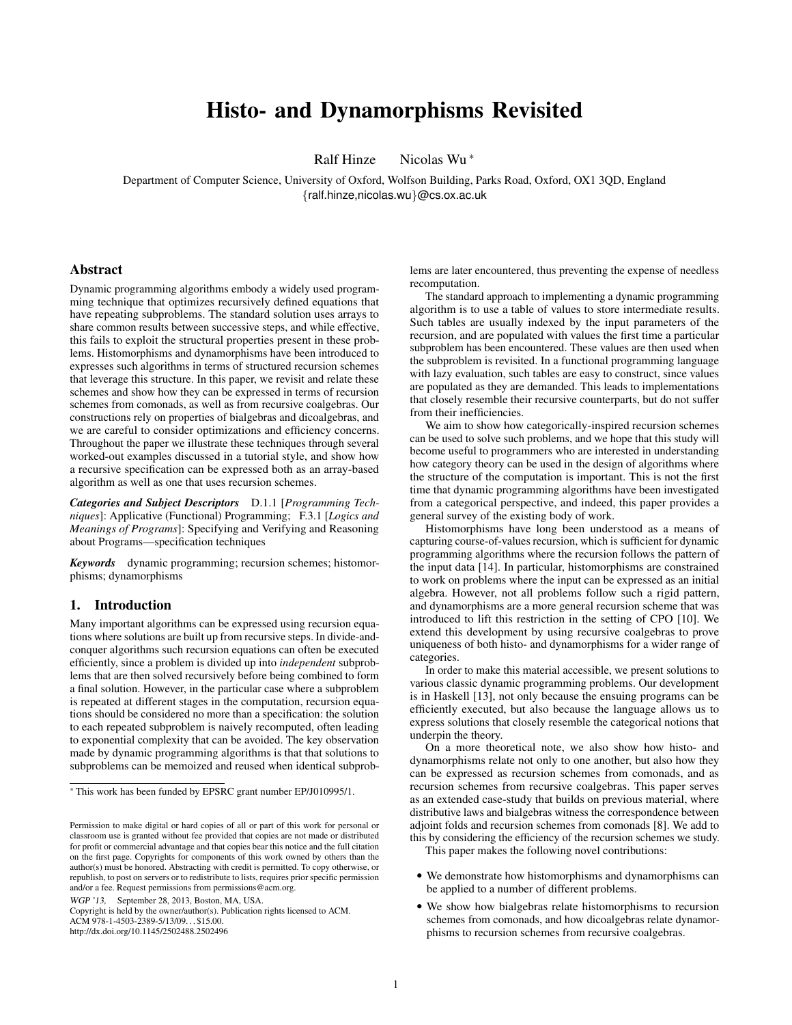# Histo- and Dynamorphisms Revisited

Ralf Hinze Nicolas Wu <sup>∗</sup>

Department of Computer Science, University of Oxford, Wolfson Building, Parks Road, Oxford, OX1 3QD, England

{ralf.hinze,nicolas.wu}@cs.ox.ac.uk

# Abstract

Dynamic programming algorithms embody a widely used programming technique that optimizes recursively defined equations that have repeating subproblems. The standard solution uses arrays to share common results between successive steps, and while effective, this fails to exploit the structural properties present in these problems. Histomorphisms and dynamorphisms have been introduced to expresses such algorithms in terms of structured recursion schemes that leverage this structure. In this paper, we revisit and relate these schemes and show how they can be expressed in terms of recursion schemes from comonads, as well as from recursive coalgebras. Our constructions rely on properties of bialgebras and dicoalgebras, and we are careful to consider optimizations and efficiency concerns. Throughout the paper we illustrate these techniques through several worked-out examples discussed in a tutorial style, and show how a recursive specification can be expressed both as an array-based algorithm as well as one that uses recursion schemes.

*Categories and Subject Descriptors* D.1.1 [*Programming Techniques*]: Applicative (Functional) Programming; F.3.1 [*Logics and Meanings of Programs*]: Specifying and Verifying and Reasoning about Programs—specification techniques

*Keywords* dynamic programming; recursion schemes; histomorphisms; dynamorphisms

# 1. Introduction

Many important algorithms can be expressed using recursion equations where solutions are built up from recursive steps. In divide-andconquer algorithms such recursion equations can often be executed efficiently, since a problem is divided up into *independent* subproblems that are then solved recursively before being combined to form a final solution. However, in the particular case where a subproblem is repeated at different stages in the computation, recursion equations should be considered no more than a specification: the solution to each repeated subproblem is naively recomputed, often leading to exponential complexity that can be avoided. The key observation made by dynamic programming algorithms is that that solutions to subproblems can be memoized and reused when identical subprob-

WGP '13, September 28, 2013, Boston, MA, USA.

Copyright is held by the owner/author(s). Publication rights licensed to ACM. ACM 978-1-4503-2389-5/13/09. . . \$15.00. http://dx.doi.org/10.1145/2502488.2502496

lems are later encountered, thus preventing the expense of needless recomputation.

The standard approach to implementing a dynamic programming algorithm is to use a table of values to store intermediate results. Such tables are usually indexed by the input parameters of the recursion, and are populated with values the first time a particular subproblem has been encountered. These values are then used when the subproblem is revisited. In a functional programming language with lazy evaluation, such tables are easy to construct, since values are populated as they are demanded. This leads to implementations that closely resemble their recursive counterparts, but do not suffer from their inefficiencies.

We aim to show how categorically-inspired recursion schemes can be used to solve such problems, and we hope that this study will become useful to programmers who are interested in understanding how category theory can be used in the design of algorithms where the structure of the computation is important. This is not the first time that dynamic programming algorithms have been investigated from a categorical perspective, and indeed, this paper provides a general survey of the existing body of work.

Histomorphisms have long been understood as a means of capturing course-of-values recursion, which is sufficient for dynamic programming algorithms where the recursion follows the pattern of the input data [\[14\]](#page-11-0). In particular, histomorphisms are constrained to work on problems where the input can be expressed as an initial algebra. However, not all problems follow such a rigid pattern, and dynamorphisms are a more general recursion scheme that was introduced to lift this restriction in the setting of CPO [\[10\]](#page-11-1). We extend this development by using recursive coalgebras to prove uniqueness of both histo- and dynamorphisms for a wider range of categories.

In order to make this material accessible, we present solutions to various classic dynamic programming problems. Our development is in Haskell [\[13\]](#page-11-2), not only because the ensuing programs can be efficiently executed, but also because the language allows us to express solutions that closely resemble the categorical notions that underpin the theory.

On a more theoretical note, we also show how histo- and dynamorphisms relate not only to one another, but also how they can be expressed as recursion schemes from comonads, and as recursion schemes from recursive coalgebras. This paper serves as an extended case-study that builds on previous material, where distributive laws and bialgebras witness the correspondence between adjoint folds and recursion schemes from comonads [\[8\]](#page-11-3). We add to this by considering the efficiency of the recursion schemes we study.

This paper makes the following novel contributions:

- We demonstrate how histomorphisms and dynamorphisms can be applied to a number of different problems.
- We show how bialgebras relate histomorphisms to recursion schemes from comonads, and how dicoalgebras relate dynamorphisms to recursion schemes from recursive coalgebras.

<sup>∗</sup> This work has been funded by EPSRC grant number EP/J010995/1.

Permission to make digital or hard copies of all or part of this work for personal or classroom use is granted without fee provided that copies are not made or distributed for profit or commercial advantage and that copies bear this notice and the full citation on the first page. Copyrights for components of this work owned by others than the author(s) must be honored. Abstracting with credit is permitted. To copy otherwise, or republish, to post on servers or to redistribute to lists, requires prior specific permission and/or a fee. Request permissions from permissions@acm.org.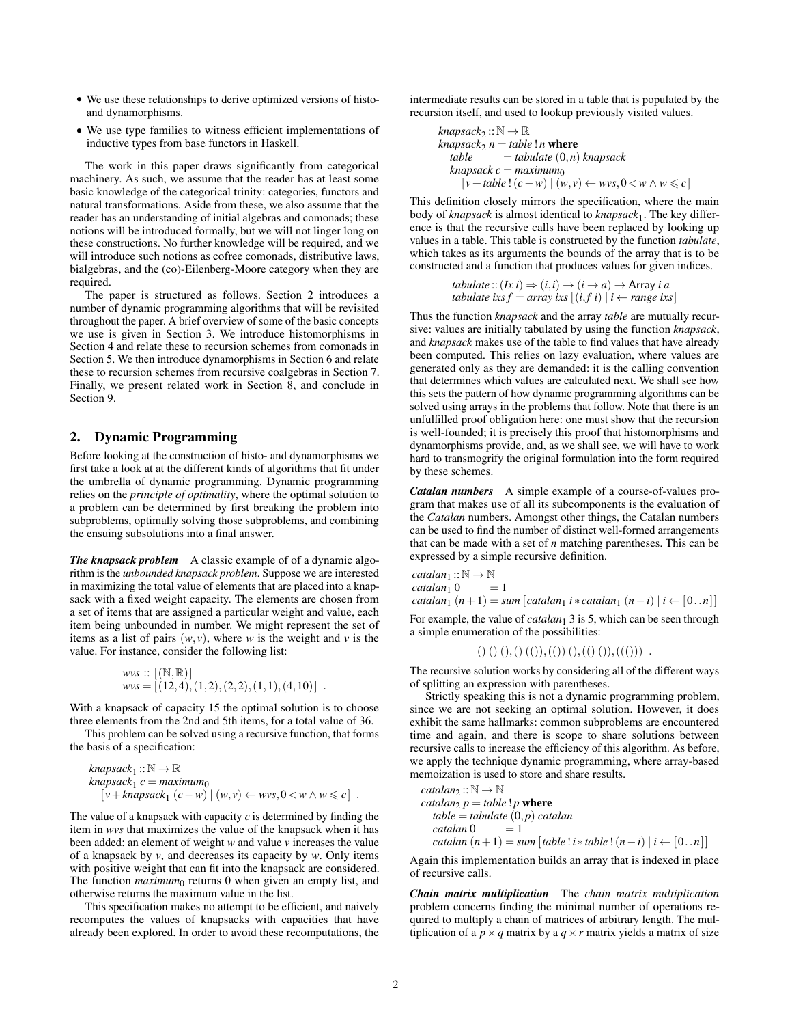- We use these relationships to derive optimized versions of histoand dynamorphisms.
- We use type families to witness efficient implementations of inductive types from base functors in Haskell.

The work in this paper draws significantly from categorical machinery. As such, we assume that the reader has at least some basic knowledge of the categorical trinity: categories, functors and natural transformations. Aside from these, we also assume that the reader has an understanding of initial algebras and comonads; these notions will be introduced formally, but we will not linger long on these constructions. No further knowledge will be required, and we will introduce such notions as cofree comonads, distributive laws, bialgebras, and the (co)-Eilenberg-Moore category when they are required.

The paper is structured as follows. Section [2](#page-1-0) introduces a number of dynamic programming algorithms that will be revisited throughout the paper. A brief overview of some of the basic concepts we use is given in Section [3.](#page-3-0) We introduce histomorphisms in Section [4](#page-3-1) and relate these to recursion schemes from comonads in Section [5.](#page-4-0) We then introduce dynamorphisms in Section [6](#page-8-0) and relate these to recursion schemes from recursive coalgebras in Section [7.](#page-8-1) Finally, we present related work in Section [8,](#page-11-4) and conclude in Section [9.](#page-11-5)

# <span id="page-1-0"></span>2. Dynamic Programming

Before looking at the construction of histo- and dynamorphisms we first take a look at at the different kinds of algorithms that fit under the umbrella of dynamic programming. Dynamic programming relies on the *principle of optimality*, where the optimal solution to a problem can be determined by first breaking the problem into subproblems, optimally solving those subproblems, and combining the ensuing subsolutions into a final answer.

*The knapsack problem* A classic example of of a dynamic algorithm is the *unbounded knapsack problem*. Suppose we are interested in maximizing the total value of elements that are placed into a knapsack with a fixed weight capacity. The elements are chosen from a set of items that are assigned a particular weight and value, each item being unbounded in number. We might represent the set of items as a list of pairs  $(w, v)$ , where *w* is the weight and *v* is the value. For instance, consider the following list:

*wvs* :: 
$$
[(\mathbb{N}, \mathbb{R})]
$$
  
\n*wvs* =  $[(12, 4), (1, 2), (2, 2), (1, 1), (4, 10)]$ .

With a knapsack of capacity 15 the optimal solution is to choose three elements from the 2nd and 5th items, for a total value of 36.

This problem can be solved using a recursive function, that forms the basis of a specification:

```
\mathit{knapsack}_1 : \mathbb{N} \to \mathbb{R}knapsack1
c = maximum0
   [v + knapsack<sub>1</sub> (c - w) | (w, v) ← wvs, 0 < w ∧ w ≤ c].
```
The value of a knapsack with capacity *c* is determined by finding the item in *wvs* that maximizes the value of the knapsack when it has been added: an element of weight *w* and value *v* increases the value of a knapsack by *v*, and decreases its capacity by *w*. Only items with positive weight that can fit into the knapsack are considered. The function  $maximum_0$  returns 0 when given an empty list, and otherwise returns the maximum value in the list.

This specification makes no attempt to be efficient, and naively recomputes the values of knapsacks with capacities that have already been explored. In order to avoid these recomputations, the intermediate results can be stored in a table that is populated by the recursion itself, and used to lookup previously visited values.

$$
knapsack_2 :: \mathbb{N} \to \mathbb{R}
$$
\n
$$
knapsack_2 n = table!n \text{ where}
$$
\n
$$
table = tabulate(0, n) knapsack
$$
\n
$$
knapsack c = maximum_0
$$
\n
$$
[v + table! (c - w) | (w, v) \leftarrow wvs, 0 \le w \land w \le c]
$$

This definition closely mirrors the specification, where the main body of *knapsack* is almost identical to *knapsack*<sub>1</sub>. The key difference is that the recursive calls have been replaced by looking up values in a table. This table is constructed by the function *tabulate*, which takes as its arguments the bounds of the array that is to be constructed and a function that produces values for given indices.

*tabulate* ::(*Ix i*) ⇒ (*i*,*i*) → (*i* → *a*) → Array *i a tabulate ixs f* = *array ixs* [(*i*,*f i*) | *i* ← *range ixs*]

Thus the function *knapsack* and the array *table* are mutually recursive: values are initially tabulated by using the function *knapsack*, and *knapsack* makes use of the table to find values that have already been computed. This relies on lazy evaluation, where values are generated only as they are demanded: it is the calling convention that determines which values are calculated next. We shall see how this sets the pattern of how dynamic programming algorithms can be solved using arrays in the problems that follow. Note that there is an unfulfilled proof obligation here: one must show that the recursion is well-founded; it is precisely this proof that histomorphisms and dynamorphisms provide, and, as we shall see, we will have to work hard to transmogrify the original formulation into the form required by these schemes.

*Catalan numbers* A simple example of a course-of-values program that makes use of all its subcomponents is the evaluation of the *Catalan* numbers. Amongst other things, the Catalan numbers can be used to find the number of distinct well-formed arrangements that can be made with a set of *n* matching parentheses. This can be expressed by a simple recursive definition.

 $catalan_1 :: \mathbb{N} \rightarrow \mathbb{N}$ <br> $catalan_1 0 = 1$  $catalan<sub>1</sub> 0$  $\text{catalan}_1(n+1) = \text{sum} \left[ \text{catalan}_1 i * \text{catalan}_1(n-i) \mid i \leftarrow [0..n] \right]$ 

For example, the value of *catalan*<sup>1</sup> 3 is 5, which can be seen through a simple enumeration of the possibilities:

 $(0,0,0,0,0,0),$   $(0,0,0,0,0,0,0,0,0,0)$ .

The recursive solution works by considering all of the different ways of splitting an expression with parentheses.

Strictly speaking this is not a dynamic programming problem, since we are not seeking an optimal solution. However, it does exhibit the same hallmarks: common subproblems are encountered time and again, and there is scope to share solutions between recursive calls to increase the efficiency of this algorithm. As before, we apply the technique dynamic programming, where array-based memoization is used to store and share results.

$$
\begin{aligned}\n\text{catalan}_2 :: \mathbb{N} \to \mathbb{N} \\
\text{catalan}_2 p &= \text{table} \cdot p \text{ where} \\
\text{table} &= \text{tabulate } (0, p) \text{ catalan} \\
\text{catalan 0} &= 1 \\
\text{catalan } (n+1) &= \text{sum } [\text{table} \cdot i * \text{table} \cdot (n-i) \mid i \leftarrow [0..n]\n\end{aligned}
$$

Again this implementation builds an array that is indexed in place of recursive calls.

*Chain matrix multiplication* The *chain matrix multiplication* problem concerns finding the minimal number of operations required to multiply a chain of matrices of arbitrary length. The multiplication of a  $p \times q$  matrix by a  $q \times r$  matrix yields a matrix of size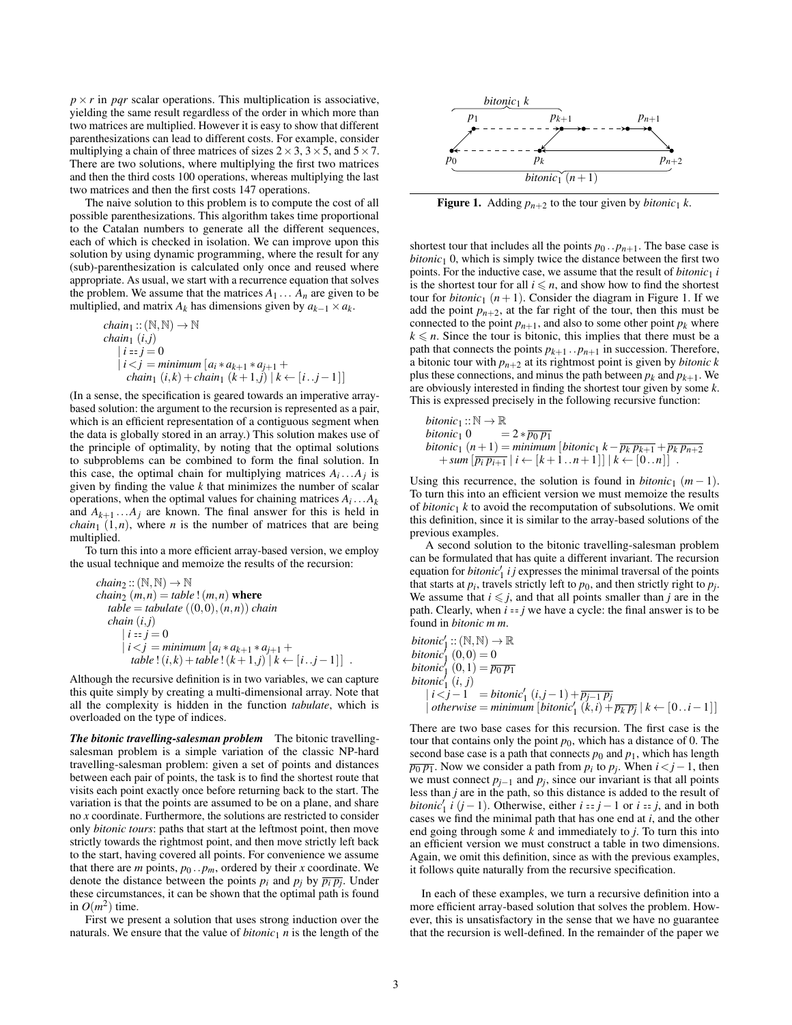$p \times r$  in *pqr* scalar operations. This multiplication is associative, yielding the same result regardless of the order in which more than two matrices are multiplied. However it is easy to show that different parenthesizations can lead to different costs. For example, consider multiplying a chain of three matrices of sizes  $2 \times 3$ ,  $3 \times 5$ , and  $5 \times 7$ . There are two solutions, where multiplying the first two matrices and then the third costs 100 operations, whereas multiplying the last two matrices and then the first costs 147 operations.

The naive solution to this problem is to compute the cost of all possible parenthesizations. This algorithm takes time proportional to the Catalan numbers to generate all the different sequences, each of which is checked in isolation. We can improve upon this solution by using dynamic programming, where the result for any (sub)-parenthesization is calculated only once and reused where appropriate. As usual, we start with a recurrence equation that solves the problem. We assume that the matrices  $A_1 \ldots A_n$  are given to be multiplied, and matrix  $A_k$  has dimensions given by  $a_{k-1} \times a_k$ .

chain<sub>1</sub> :: (N, N) 
$$
\rightarrow
$$
 N  
\nchain<sub>1</sub> (i,j)  
\n| *i* = *j* = 0  
\n| *i* < *j* = minimum [ $a_i * a_{k+1} * a_{j+1} +$   
\nchain<sub>1</sub> (i,k) + chain<sub>1</sub> (k+1,j) | k  $\leftarrow [i..j-1]$ ]

(In a sense, the specification is geared towards an imperative arraybased solution: the argument to the recursion is represented as a pair, which is an efficient representation of a contiguous segment when the data is globally stored in an array.) This solution makes use of the principle of optimality, by noting that the optimal solutions to subproblems can be combined to form the final solution. In this case, the optimal chain for multiplying matrices  $A_i \dots A_j$  is given by finding the value *k* that minimizes the number of scalar operations, when the optimal values for chaining matrices *Ai* ...*A<sup>k</sup>* and  $A_{k+1} \ldots A_j$  are known. The final answer for this is held in *chain*<sub>1</sub> (1,*n*), where *n* is the number of matrices that are being multiplied.

To turn this into a more efficient array-based version, we employ the usual technique and memoize the results of the recursion:

chain<sub>2</sub> :: (
$$
\mathbb{N}, \mathbb{N}
$$
)  $\rightarrow \mathbb{N}$   
\nchain<sub>2</sub>  $(m, n) = table!$   $(m, n)$  where  
\ntable = tabulate ((0,0), (n,n)) chain  
\nchain (i,j)  
\n $i := j = 0$   
\n $i < j = minimum$   $[a_i * a_{k+1} * a_{j+1} +$   
\ntable!  $(i,k) + table!$   $(k+1,j) | k \leftarrow [i..j-1] ]$ .

Although the recursive definition is in two variables, we can capture this quite simply by creating a multi-dimensional array. Note that all the complexity is hidden in the function *tabulate*, which is overloaded on the type of indices.

*The bitonic travelling-salesman problem* The bitonic travellingsalesman problem is a simple variation of the classic NP-hard travelling-salesman problem: given a set of points and distances between each pair of points, the task is to find the shortest route that visits each point exactly once before returning back to the start. The variation is that the points are assumed to be on a plane, and share no *x* coordinate. Furthermore, the solutions are restricted to consider only *bitonic tours*: paths that start at the leftmost point, then move strictly towards the rightmost point, and then move strictly left back to the start, having covered all points. For convenience we assume that there are *m* points,  $p_0 \tcdot p_m$ , ordered by their *x* coordinate. We denote the distance between the points  $p_i$  and  $p_j$  by  $\overline{p_i p_j}$ . Under these circumstances, it can be shown that the optimal path is found in  $O(m^2)$  time.

First we present a solution that uses strong induction over the naturals. We ensure that the value of  $b*itionic<sub>1</sub>* n$  is the length of the



<span id="page-2-0"></span>**Figure 1.** Adding  $p_{n+2}$  to the tour given by *bitonic*<sub>1</sub> *k*.

shortest tour that includes all the points  $p_0 \tildot p_{n+1}$ . The base case is  $bitionic<sub>1</sub> 0$ , which is simply twice the distance between the first two points. For the inductive case, we assume that the result of *bitonic*<sup>1</sup> *i* is the shortest tour for all  $i \leq n$ , and show how to find the shortest tour for *bitonic*<sub>1</sub>  $(n+1)$ . Consider the diagram in Figure [1.](#page-2-0) If we add the point  $p_{n+2}$ , at the far right of the tour, then this must be connected to the point  $p_{n+1}$ , and also to some other point  $p_k$  where  $k \leq n$ . Since the tour is bitonic, this implies that there must be a path that connects the points  $p_{k+1} \nvert p_{n+1}$  in succession. Therefore, a bitonic tour with  $p_{n+2}$  at its rightmost point is given by *bitonic*  $k$ plus these connections, and minus the path between  $p_k$  and  $p_{k+1}$ . We are obviously interested in finding the shortest tour given by some *k*. This is expressed precisely in the following recursive function:

*bitonic*<sub>1</sub>::
$$
\mathbb{N} \to \mathbb{R}
$$
  
\n*bitonic*<sub>1</sub> 0 =  $2 * \overline{p_0 p_1}$   
\n*bitonic*<sub>1</sub> (*n*+1) = *minimum* [*bitonic*<sub>1</sub> *k* -  $\overline{p_k p_{k+1}} + \overline{p_k p_{n+2}}$   
\n+ *sum* [ $\overline{p_i p_{i+1}} | i \leftarrow [k+1..n+1] | k \leftarrow [0..n]$ 

Using this recurrence, the solution is found in *bitonic*<sub>1</sub>  $(m-1)$ . To turn this into an efficient version we must memoize the results of *bitonic*<sup>1</sup> *k* to avoid the recomputation of subsolutions. We omit this definition, since it is similar to the array-based solutions of the previous examples.

A second solution to the bitonic travelling-salesman problem can be formulated that has quite a different invariant. The recursion equation for  $b$ *itonic*<sup> $\prime$ </sup><sub>1</sub> *i j* expresses the minimal traversal of the points that starts at  $p_i$ , travels strictly left to  $p_0$ , and then strictly right to  $p_j$ . We assume that  $i \leq j$ , and that all points smaller than *j* are in the path. Clearly, when  $i = j$  we have a cycle: the final answer is to be found in *bitonic m m*.

 $bitionic'_1::(\mathbb{N},\mathbb{N})\to\mathbb{R}$  $\frac{\partial \text{uonic}_1}{\partial \text{u}}(0,0) = 0$ *bitonic*<sup> $\int_1^1 (0,1) = \overline{p_0 p_1}$ </sup>  $b$ *itonic*<sup> $\int$ </sup><sub>1</sub> $(i, j)$  $\left| i < j-1 \right|$  = *bitonic*<sup>'</sup><sub>1</sub> (*i*,*j* − 1) +  $\overline{p_{j-1} p_j}$  $\int$  *otherwise* = *minimum*  $\left[ \text{bitonic}'_1(k,i) + \overline{p_k p_j} \mid k \leftarrow [0..i-1] \right]$ 

There are two base cases for this recursion. The first case is the tour that contains only the point  $p_0$ , which has a distance of 0. The second base case is a path that connects  $p_0$  and  $p_1$ , which has length  $\overline{p_0 p_1}$ . Now we consider a path from  $p_i$  to  $p_j$ . When  $i < j - 1$ , then we must connect  $p_{j-1}$  and  $p_j$ , since our invariant is that all points less than *j* are in the path, so this distance is added to the result of *bitonic*<sup> $\int$ </sup>  $i(j-1)$ . Otherwise, either  $i = j - 1$  or  $i = j$ , and in both cases we find the minimal path that has one end at *i*, and the other end going through some *k* and immediately to *j*. To turn this into an efficient version we must construct a table in two dimensions. Again, we omit this definition, since as with the previous examples, it follows quite naturally from the recursive specification.

In each of these examples, we turn a recursive definition into a more efficient array-based solution that solves the problem. However, this is unsatisfactory in the sense that we have no guarantee that the recursion is well-defined. In the remainder of the paper we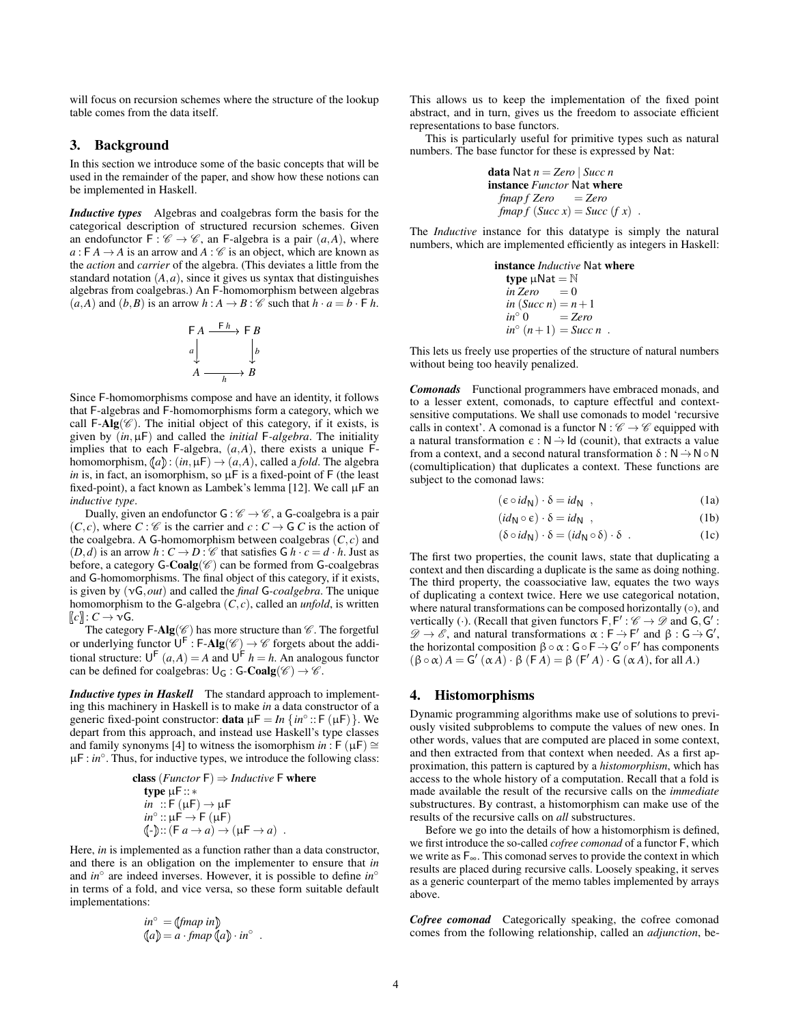will focus on recursion schemes where the structure of the lookup table comes from the data itself.

# <span id="page-3-0"></span>3. Background

In this section we introduce some of the basic concepts that will be used in the remainder of the paper, and show how these notions can be implemented in Haskell.

*Inductive types* Algebras and coalgebras form the basis for the categorical description of structured recursion schemes. Given an endofunctor  $F: \mathscr{C} \to \mathscr{C}$ , an F-algebra is a pair  $(a, A)$ , where  $a:FA \rightarrow A$  is an arrow and  $A:C$  is an object, which are known as the *action* and *carrier* of the algebra. (This deviates a little from the standard notation  $(A, a)$ , since it gives us syntax that distinguishes algebras from coalgebras.) An F-homomorphism between algebras  $(a, A)$  and  $(b, B)$  is an arrow  $h : A \rightarrow B : C$  such that  $h \cdot a = b \cdot F h$ .

$$
\begin{array}{ccc}\nF A & \xrightarrow{F h} & F B \\
a & \downarrow & \downarrow \\
A & \xrightarrow{h} & B\n\end{array}
$$

Since F-homomorphisms compose and have an identity, it follows that F-algebras and F-homomorphisms form a category, which we call  $\mathsf{F}\text{-}\mathbf{Alg}(\mathscr{C})$ . The initial object of this category, if it exists, is given by (*in*,µF) and called the *initial* F*-algebra*. The initiality implies that to each F-algebra, (*a*,*A*), there exists a unique Fhomomorphism,  $(a)$ :  $(in, \mu) \rightarrow (a, A)$ , called a *fold*. The algebra *in* is, in fact, an isomorphism, so  $\mu$ F is a fixed-point of F (the least fixed-point), a fact known as Lambek's lemma [\[12\]](#page-11-6). We call  $\mu$ F an *inductive type*.

Dually, given an endofunctor  $G: \mathscr{C} \to \mathscr{C}$ , a G-coalgebra is a pair  $(C, c)$ , where  $C : \mathscr{C}$  is the carrier and  $c : C \rightarrow G$  *C* is the action of the coalgebra. A G-homomorphism between coalgebras (*C*,*c*) and  $(D,d)$  is an arrow  $h: C \to D: C$  that satisfies  $G h \cdot c = d \cdot h$ . Just as before, a category  $G\text{-}\mathbf{Coalg}(\mathscr{C})$  can be formed from  $G\text{-}\mathrm{coalgebras}$ and G-homomorphisms. The final object of this category, if it exists, is given by (νG,*out*) and called the *final* G*-coalgebra*. The unique homomorphism to the G-algebra  $(C, c)$ , called an *unfold*, is written  $[c]$  :  $C \rightarrow \nu G$ .

The category  $\mathsf{F}\text{-}\mathbf{Alg}(\mathscr{C})$  has more structure than  $\mathscr{C}$ . The forgetful or underlying functor  $U^F$ : F-Alg $(\mathscr{C}) \to \mathscr{C}$  forgets about the additional structure:  $U^F(a,A) = A$  and  $U^F h = h$ . An analogous functor can be defined for coalgebras:  $U_G$ : G-Coalg $(\mathscr{C}) \rightarrow \mathscr{C}$ .

*Inductive types in Haskell* The standard approach to implementing this machinery in Haskell is to make *in* a data constructor of a generic fixed-point constructor: **data**  $\mu F = In \{in^{\circ} : F(\mu F)\}$ . We depart from this approach, and instead use Haskell's type classes and family synonyms [\[4\]](#page-11-7) to witness the isomorphism *in* : F ( $\mu$ F) ≅ µF : *in*<sup>○</sup>. Thus, for inductive types, we introduce the following class:

**class** 
$$
(Function F) \Rightarrow Inductive F
$$
 where  
\n**type**  $\mu F :: *$   
\n $in :: F (\mu F) \rightarrow \mu F$   
\n $in^{\circ} :: \mu F \rightarrow F (\mu F)$   
\n $(-):: (F a \rightarrow a) \rightarrow (\mu F \rightarrow a)$ .

Here, *in* is implemented as a function rather than a data constructor, and there is an obligation on the implementer to ensure that *in* and *in*° are indeed inverses. However, it is possible to define *in*° in terms of a fold, and vice versa, so these form suitable default implementations:

.

$$
in^{\circ} = (\text{fmap in})
$$
  

$$
\langle a \rangle = a \cdot \text{fmap} \langle a \rangle \cdot in^{\circ}
$$

This allows us to keep the implementation of the fixed point abstract, and in turn, gives us the freedom to associate efficient representations to base functors.

This is particularly useful for primitive types such as natural numbers. The base functor for these is expressed by Nat:

**data** Nat 
$$
n = Zero | Succ n
$$
  
**instance** Function Nat **where**  
*franp f Zero* = Zero  
*franp f (Succ x)* = Succ ( $f x$ ).

The *Inductive* instance for this datatype is simply the natural numbers, which are implemented efficiently as integers in Haskell:

> instance *Inductive* Nat where type  $\mu$ Nat =  $\mathbb N$  $in Zero = 0$  $in$  (*Succ n*) =  $n+1$  $in^{\circ} 0 \qquad = \text{Zero}$  $in^{\circ}(n+1) = Succ n$ .

This lets us freely use properties of the structure of natural numbers without being too heavily penalized.

*Comonads* Functional programmers have embraced monads, and to a lesser extent, comonads, to capture effectful and contextsensitive computations. We shall use comonads to model 'recursive calls in context'. A comonad is a functor  $N : \mathcal{C} \to \mathcal{C}$  equipped with a natural transformation  $\epsilon : N \rightarrow \text{Id}$  (counit), that extracts a value from a context, and a second natural transformation  $\delta : \mathbb{N} \to \mathbb{N} \circ \mathbb{N}$ (comultiplication) that duplicates a context. These functions are subject to the comonad laws:

$$
(\varepsilon \circ id_N) \cdot \delta = id_N , \qquad (1a)
$$

<span id="page-3-3"></span><span id="page-3-2"></span>
$$
(id_{N} \circ \epsilon) \cdot \delta = id_{N} , \qquad (1b)
$$

$$
(\delta \circ id_{\mathsf{N}}) \cdot \delta = (id_{\mathsf{N}} \circ \delta) \cdot \delta . \tag{1c}
$$

The first two properties, the counit laws, state that duplicating a context and then discarding a duplicate is the same as doing nothing. The third property, the coassociative law, equates the two ways of duplicating a context twice. Here we use categorical notation, where natural transformations can be composed horizontally (◦), and vertically (·). (Recall that given functors  $\mathsf{F}, \mathsf{F}': \mathscr{C} \to \mathscr{D}$  and  $\mathsf{G}, \mathsf{G}'$ :  $\mathscr{D} \to \mathscr{E}$ , and natural transformations  $\alpha : \mathsf{F} \to \mathsf{F}'$  and  $\beta : \mathsf{G} \to \mathsf{G}',$ the horizontal composition  $\beta \circ \alpha : G \circ F \rightarrow G' \circ F'$  has components  $(\beta \circ \alpha) A = G' (\alpha \vec{A}) \cdot \beta (\vec{F} \vec{A}) = \beta (\vec{F}' \vec{A}) \cdot G (\alpha \vec{A})$ , for all  $\vec{A}$ .)

## <span id="page-3-1"></span>4. Histomorphisms

Dynamic programming algorithms make use of solutions to previously visited subproblems to compute the values of new ones. In other words, values that are computed are placed in some context, and then extracted from that context when needed. As a first approximation, this pattern is captured by a *histomorphism*, which has access to the whole history of a computation. Recall that a fold is made available the result of the recursive calls on the *immediate* substructures. By contrast, a histomorphism can make use of the results of the recursive calls on *all* substructures.

Before we go into the details of how a histomorphism is defined, we first introduce the so-called *cofree comonad* of a functor F, which we write as F∞. This comonad serves to provide the context in which results are placed during recursive calls. Loosely speaking, it serves as a generic counterpart of the memo tables implemented by arrays above.

*Cofree comonad* Categorically speaking, the cofree comonad comes from the following relationship, called an *adjunction*, be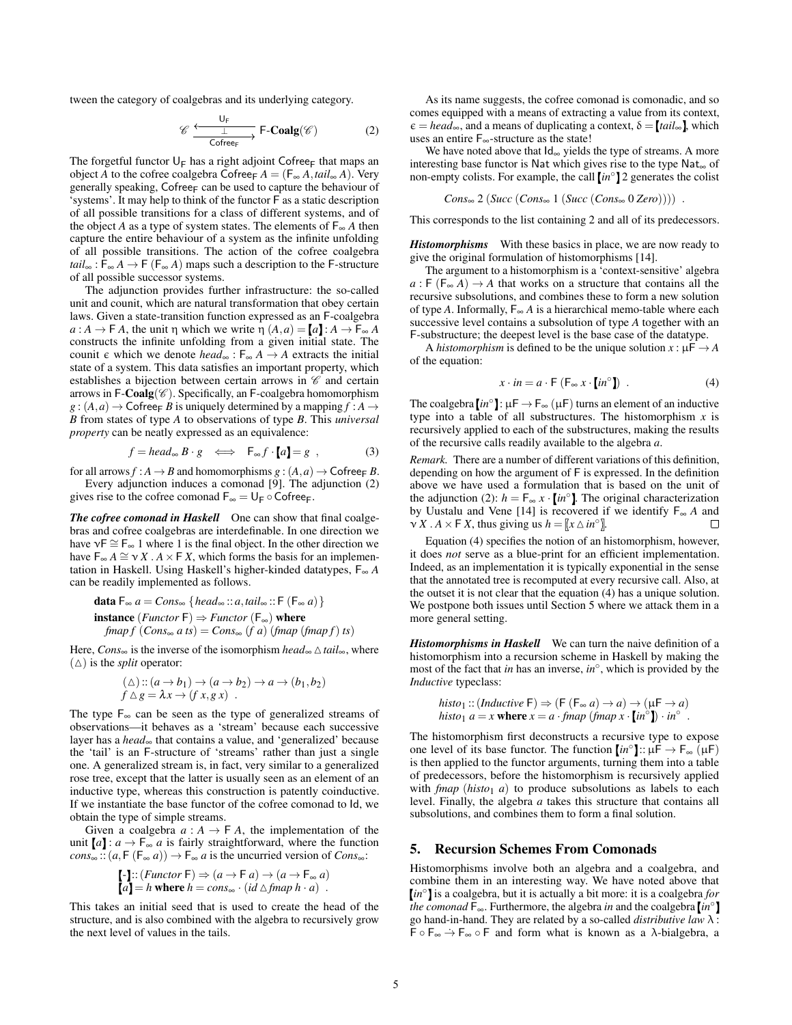<span id="page-4-1"></span>tween the category of coalgebras and its underlying category.

$$
\mathscr{C} \xrightarrow{\bigcup_{F} \atop \text{CofreeF}} \mathsf{F\text{-}\mathbf{Coalg}}(\mathscr{C}) \tag{2}
$$

The forgetful functor  $U_F$  has a right adjoint Cofree<sub>F</sub> that maps an object *A* to the cofree coalgebra Cofree<sub>F</sub>  $A = (F_{\infty} A, \text{tail}_{\infty} A)$ . Very generally speaking,  $Cofree_F$  can be used to capture the behaviour of 'systems'. It may help to think of the functor F as a static description of all possible transitions for a class of different systems, and of the object *A* as a type of system states. The elements of  $\mathsf{F}_{\infty}$  *A* then capture the entire behaviour of a system as the infinite unfolding of all possible transitions. The action of the cofree coalgebra *tail*∞ :  $F_{\infty} A \rightarrow F(F_{\infty} A)$  maps such a description to the F-structure of all possible successor systems.

The adjunction provides further infrastructure: the so-called unit and counit, which are natural transformation that obey certain laws. Given a state-transition function expressed as an F-coalgebra  $a : A \to \mathsf{F} A$ , the unit  $\eta$  which we write  $\eta$   $(A, a) = [a] : A \to \mathsf{F}_{\infty} A$ constructs the infinite unfolding from a given initial state. The counit  $\epsilon$  which we denote *head*<sub>∞</sub> :  $F_{\infty} A \rightarrow A$  extracts the initial state of a system. This data satisfies an important property, which establishes a bijection between certain arrows in  $\mathscr C$  and certain arrows in  $\mathsf{F}\text{-}\mathbf{Coalg}(\mathscr{C})$ . Specifically, an  $\mathsf{F}\text{-}\mathrm{coalgebra}$  homomorphism  $g : (A,a) \to \mathsf{Cofree}_F B$  is uniquely determined by a mapping  $f : A \to$ *B* from states of type *A* to observations of type *B*. This *universal property* can be neatly expressed as an equivalence:

<span id="page-4-3"></span>
$$
f = head_{\infty} B \cdot g \iff \mathsf{F}_{\infty} f \cdot [a] = g , \tag{3}
$$

for all arrows  $f : A \to B$  and homomorphisms  $g : (A, a) \to \mathsf{C}$  of reequality *B*. Every adjunction induces a comonad [\[9\]](#page-11-8). The adjunction [\(2\)](#page-4-1) gives rise to the cofree comonad  $\mathsf{F}_\infty = \mathsf{U}_\mathsf{F} \circ \mathsf{Cofree}_\mathsf{F}.$ 

*The cofree comonad in Haskell* One can show that final coalgebras and cofree coalgebras are interdefinable. In one direction we have  $\nu$ F  $\cong$  F<sub>∞</sub> 1 where 1 is the final object. In the other direction we have  $\mathsf{F}_{\infty} A \cong \nu X \cdot A \times \mathsf{F} X$ , which forms the basis for an implementation in Haskell. Using Haskell's higher-kinded datatypes, F<sup>∞</sup> *A* can be readily implemented as follows.

**data** 
$$
F_{\infty} a = Cons_{\infty} \{ head_{\infty} :: a, tail_{\infty} :: F (F_{\infty} a) \}
$$
  
**instance**  $(Function F) \Rightarrow Function (F_{\infty})$  where  
 $fmap f (Cons_{\infty} a ts) = Cons_{\infty} (f a) (fmap (fmap f) ts)$ 

Here, *Cons*∞ is the inverse of the isomorphism *head*∞  $\triangle$  *tail*∞, where  $(\triangle)$  is the *split* operator:

$$
(\triangle) :: (a \rightarrow b_1) \rightarrow (a \rightarrow b_2) \rightarrow a \rightarrow (b_1, b_2)
$$
  

$$
f \triangle g = \lambda x \rightarrow (f x, g x)
$$
.

The type  $F_{\infty}$  can be seen as the type of generalized streams of observations—it behaves as a 'stream' because each successive layer has a *head*<sup>∞</sup> that contains a value, and 'generalized' because the 'tail' is an F-structure of 'streams' rather than just a single one. A generalized stream is, in fact, very similar to a generalized rose tree, except that the latter is usually seen as an element of an inductive type, whereas this construction is patently coinductive. If we instantiate the base functor of the cofree comonad to Id, we obtain the type of simple streams.

Given a coalgebra  $a : A \rightarrow F A$ , the implementation of the unit  $[a]$ :  $a \rightarrow F_{\infty} a$  is fairly straightforward, where the function  $cons_{\infty}$  ::  $(a, F(F_{\infty} a)) \rightarrow F_{\infty} a$  is the uncurried version of *Cons*<sub>∞</sub>:

$$
\begin{array}{l}\n\textbf{[-]}::(Function F) \Rightarrow (a \rightarrow F a) \rightarrow (a \rightarrow F_{\infty} a) \\
\textbf{[a]} = h \text{ where } h = cons_{\infty} \cdot (id \triangle fmap h \cdot a)\n\end{array}
$$

This takes an initial seed that is used to create the head of the structure, and is also combined with the algebra to recursively grow the next level of values in the tails.

As its name suggests, the cofree comonad is comonadic, and so comes equipped with a means of extracting a value from its context,  $\epsilon = head_{\infty}$ , and a means of duplicating a context,  $\delta = [tail_{\infty}]$ , which uses an entire F∞-structure as the state!

We have noted above that Id<sup>∞</sup> yields the type of streams. A more interesting base functor is Nat which gives rise to the type  $Nat_{\infty}$  of non-empty colists. For example, the call *in*<sup>◦</sup> 2 generates the colist

$$
Cons_{\infty} 2 (Succ (Cons_{\infty} 1 (Succ (Cons_{\infty} 0 Zero)))) .
$$

This corresponds to the list containing 2 and all of its predecessors.

*Histomorphisms* With these basics in place, we are now ready to give the original formulation of histomorphisms [\[14\]](#page-11-0).

The argument to a histomorphism is a 'context-sensitive' algebra  $a: F(F_{\infty} A) \to A$  that works on a structure that contains all the recursive subsolutions, and combines these to form a new solution of type *A*. Informally,  $F_{\infty}$  *A* is a hierarchical memo-table where each successive level contains a subsolution of type *A* together with an F-substructure; the deepest level is the base case of the datatype.

A *histomorphism* is defined to be the unique solution  $x : \mu \mathsf{F} \to A$ of the equation:

<span id="page-4-2"></span>
$$
x \cdot in = a \cdot \mathsf{F} \left( \mathsf{F}_{\infty} \, x \cdot \left[ in^{\circ} \right] \right) \tag{4}
$$

The coalgebra  $\left[$ *in*<sup>o</sup> $\right]$ :  $\mu$ F  $\rightarrow$  F<sub>∞</sub> ( $\mu$ F) turns an element of an inductive type into a table of all substructures. The histomorphism *x* is recursively applied to each of the substructures, making the results of the recursive calls readily available to the algebra *a*.

*Remark.* There are a number of different variations of this definition, depending on how the argument of F is expressed. In the definition above we have used a formulation that is based on the unit of the adjunction [\(2\)](#page-4-1):  $h = F_{\infty} x \cdot [in^{\circ}]$ . The original characterization by Uustalu and Vene [\[14\]](#page-11-0) is recovered if we identify  $F_{\infty} A$  and  $\sim X$  *A*  $\times$  **F** *X* thus giving us  $h = [x \wedge in^{\circ}]$  $\nabla X \cdot A \times \mathsf{F} X$ , thus giving us  $h = [x \triangle in^\circ].$ 

Equation [\(4\)](#page-4-2) specifies the notion of an histomorphism, however, it does *not* serve as a blue-print for an efficient implementation. Indeed, as an implementation it is typically exponential in the sense that the annotated tree is recomputed at every recursive call. Also, at the outset it is not clear that the equation [\(4\)](#page-4-2) has a unique solution. We postpone both issues until Section [5](#page-4-0) where we attack them in a more general setting.

*Histomorphisms in Haskell* We can turn the naive definition of a histomorphism into a recursion scheme in Haskell by making the most of the fact that *in* has an inverse, *in*◦ , which is provided by the *Inductive* typeclass:

$$
histo_1 :: (Inductive \ F) \Rightarrow (F (F_{\infty} a) \rightarrow a) \rightarrow (\mu F \rightarrow a)
$$
  

$$
histo_1 a = x \ where \ x = a \cdot \text{fmap } (\text{fmap } x \cdot \text{Iin}^{\circ}) \cdot \text{in}^{\circ}.
$$

The histomorphism first deconstructs a recursive type to expose one level of its base functor. The function  $\left[ in^{\circ} \right]$ ::  $\mu \hat{F} \to F_{\infty} (\mu F)$ is then applied to the functor arguments, turning them into a table of predecessors, before the histomorphism is recursively applied with  $fmap$  ( $histo<sub>1</sub> a$ ) to produce subsolutions as labels to each level. Finally, the algebra *a* takes this structure that contains all subsolutions, and combines them to form a final solution.

#### <span id="page-4-0"></span>5. Recursion Schemes From Comonads

Histomorphisms involve both an algebra and a coalgebra, and combine them in an interesting way. We have noted above that *in*<sup>○</sup> is a coalgebra, but it is actually a bit more: it is a coalgebra *for the comonad* F∞. Furthermore, the algebra *in* and the coalgebra *in*◦ go hand-in-hand. They are related by a so-called *distributive law* λ :  $F \circ F_{\infty} \to F_{\infty} \circ F$  and form what is known as a  $\lambda$ -bialgebra, a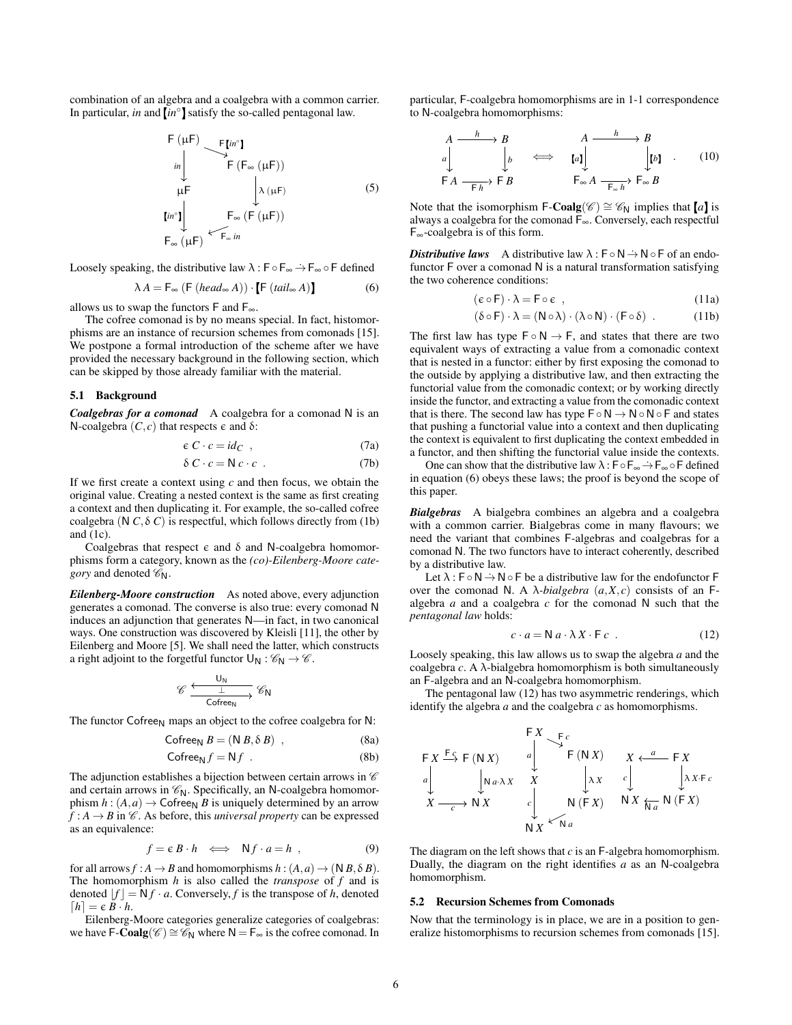combination of an algebra and a coalgebra with a common carrier. In particular, *in* and  $\left[\frac{in}{\infty}\right]$  satisfy the so-called pentagonal law.

<span id="page-5-4"></span>
$$
F(\mu F) \longrightarrow F[n^{\circ}]
$$
  
\n
$$
\mu F \longrightarrow F(F_{\infty}(\mu F))
$$
  
\n
$$
[in^{\circ}] \longrightarrow F_{\infty} (F(\mu F))
$$
  
\n
$$
F_{\infty}(\mu F) \longleftarrow F_{\infty} in
$$
  
\n(5)

Loosely speaking, the distributive law  $\lambda : \mathsf{F} \circ \mathsf{F}_\infty \to \mathsf{F}_\infty \circ \mathsf{F}$  defined

<span id="page-5-0"></span>
$$
\lambda A = \mathsf{F}_{\infty} \left( \mathsf{F} \left( \text{head}_{\infty} A \right) \right) \cdot \left[ \mathsf{F} \left( \text{tail}_{\infty} A \right) \right] \tag{6}
$$

allows us to swap the functors F and  $F_{\infty}$ .

The cofree comonad is by no means special. In fact, histomorphisms are an instance of recursion schemes from comonads [\[15\]](#page-11-9). We postpone a formal introduction of the scheme after we have provided the necessary background in the following section, which can be skipped by those already familiar with the material.

#### 5.1 Background

*Coalgebras for a comonad* A coalgebra for a comonad N is an N-coalgebra  $(C, c)$  that respects  $\epsilon$  and  $\delta$ :

$$
\varepsilon \ C \cdot c = id_C \quad , \tag{7a}
$$

$$
\delta C \cdot c = N c \cdot c \tag{7b}
$$

If we first create a context using *c* and then focus, we obtain the original value. Creating a nested context is the same as first creating a context and then duplicating it. For example, the so-called cofree coalgebra ( $N C$ ,  $\delta C$ ) is respectful, which follows directly from [\(1b\)](#page-3-2) and [\(1c\)](#page-3-3).

Coalgebras that respect  $\epsilon$  and  $\delta$  and N-coalgebra homomorphisms form a category, known as the *(co)-Eilenberg-Moore category* and denoted  $\mathcal{C}_N$ .

*Eilenberg-Moore construction* As noted above, every adjunction generates a comonad. The converse is also true: every comonad N induces an adjunction that generates N—in fact, in two canonical ways. One construction was discovered by Kleisli [\[11\]](#page-11-10), the other by Eilenberg and Moore [\[5\]](#page-11-11). We shall need the latter, which constructs a right adjoint to the forgetful functor  $U_N : \mathcal{C}_N \to \mathcal{C}$ .

$$
\mathscr{C} \xrightarrow{\bigcup_N \atop \text{Cofree}_N} \mathscr{C}_N
$$

The functor  $\text{Cofree}_N$  maps an object to the cofree coalgebra for N:

$$
Cofree_N B = (N B, \delta B) , \qquad (8a)
$$

$$
Cofree_N f = Nf . \t\t(8b)
$$

The adjunction establishes a bijection between certain arrows in  $\mathscr C$ and certain arrows in  $\mathcal{C}_N$ . Specifically, an N-coalgebra homomorphism  $h : (A,a) \to \text{Cofree}_N B$  is uniquely determined by an arrow  $f : A \to B$  in  $\mathcal C$ . As before, this *universal property* can be expressed as an equivalence:

<span id="page-5-2"></span>
$$
f = \varepsilon \, B \cdot h \quad \Longleftrightarrow \quad \mathsf{N}f \cdot a = h \quad , \tag{9}
$$

for all arrows  $f : A \to B$  and homomorphisms  $h : (A, a) \to (N B, \delta B)$ . The homomorphism *h* is also called the *transpose* of *f* and is denoted  $|f| = Nf \cdot a$ . Conversely, *f* is the transpose of *h*, denoted  $\lceil h \rceil = \varepsilon B \cdot h.$ 

Eilenberg-Moore categories generalize categories of coalgebras: we have F-Coalg( $\mathcal{C}$ )  $\cong \mathcal{C}_{N}$  where N = F<sub>∞</sub> is the cofree comonad. In particular, F-coalgebra homomorphisms are in 1-1 correspondence to N-coalgebra homomorphisms:

<span id="page-5-3"></span>
$$
\begin{array}{ccc}\nA & \xrightarrow{h} & B \\
a & \downarrow & \downarrow & \\
\text{F } A & \xrightarrow{\hspace{1cm}} & \text{F } B\n\end{array}\n\quad\n\begin{array}{ccc}\nA & \xrightarrow{h} & B \\
\downarrow a & \downarrow & \downarrow \\
\text{F } A & \xrightarrow{\hspace{1cm}} & \text{F } B\n\end{array}\n\quad\n\begin{array}{ccc}\nA & \xrightarrow{h} & B \\
\downarrow a & \downarrow & \downarrow \\
\downarrow b & \downarrow b & \ldots\n\end{array}\n\quad\n\begin{array}{ccc}\n(10)\n\end{array}
$$

Note that the isomorphism F-Coalg( $\mathcal{C}$ ) ≅  $\mathcal{C}_N$  implies that *a* is always a coalgebra for the comonad F∞. Conversely, each respectful F∞-coalgebra is of this form.

*Distributive laws* A distributive law  $\lambda$  :  $F \circ N \rightarrow N \circ F$  of an endofunctor F over a comonad N is a natural transformation satisfying the two coherence conditions:

$$
(\varepsilon \circ \mathsf{F}) \cdot \lambda = \mathsf{F} \circ \varepsilon \quad , \tag{11a}
$$

$$
(\delta \circ F) \cdot \lambda = (N \circ \lambda) \cdot (\lambda \circ N) \cdot (F \circ \delta) . \tag{11b}
$$

The first law has type  $F \circ N \rightarrow F$ , and states that there are two equivalent ways of extracting a value from a comonadic context that is nested in a functor: either by first exposing the comonad to the outside by applying a distributive law, and then extracting the functorial value from the comonadic context; or by working directly inside the functor, and extracting a value from the comonadic context that is there. The second law has type  $F \circ N \to N \circ N \circ F$  and states that pushing a functorial value into a context and then duplicating the context is equivalent to first duplicating the context embedded in a functor, and then shifting the functorial value inside the contexts.

One can show that the distributive law  $\lambda : F \circ F_{\infty} \to F_{\infty} \circ F$  defined in equation [\(6\)](#page-5-0) obeys these laws; the proof is beyond the scope of this paper.

*Bialgebras* A bialgebra combines an algebra and a coalgebra with a common carrier. Bialgebras come in many flavours; we need the variant that combines F-algebras and coalgebras for a comonad N. The two functors have to interact coherently, described by a distributive law.

Let  $\lambda$  : F  $\circ$  N  $\rightarrow$  N  $\circ$  F be a distributive law for the endofunctor F over the comonad Ν. A  $λ$ *-bialgebra*  $(a, X, c)$  consists of an Falgebra *a* and a coalgebra *c* for the comonad N such that the *pentagonal law* holds:

<span id="page-5-1"></span>
$$
c \cdot a = \mathsf{N} \, a \cdot \lambda \, X \cdot \mathsf{F} \, c \tag{12}
$$

Loosely speaking, this law allows us to swap the algebra *a* and the coalgebra *c*. A λ-bialgebra homomorphism is both simultaneously an F-algebra and an N-coalgebra homomorphism.

The pentagonal law [\(12\)](#page-5-1) has two asymmetric renderings, which identify the algebra *a* and the coalgebra *c* as homomorphisms.

$$
\begin{array}{ccc}\n & F X & F c \\
\vdots & \vdots & \vdots & \vdots \\
a & \downarrow & \downarrow & a \cdot \lambda x \\
X & \cdots & \cdots & \lambda X\n\end{array}\n\begin{array}{ccc}\n & F X & \cdots & F x \\
\downarrow & \downarrow & \downarrow & \lambda x \\
\downarrow & \downarrow & \lambda x \\
\downarrow & \downarrow & \lambda x \\
\downarrow & \lambda x\n\end{array}\n\begin{array}{ccc}\n & F X & \cdots & F X \\
\downarrow & \downarrow & \downarrow & \lambda x \cdot F c \\
\downarrow & \downarrow & \lambda x \cdot F c \\
\downarrow & \downarrow & \lambda x \cdot F c\n\end{array}
$$

The diagram on the left shows that *c* is an F-algebra homomorphism. Dually, the diagram on the right identifies *a* as an N-coalgebra homomorphism.

#### <span id="page-5-5"></span>5.2 Recursion Schemes from Comonads

Now that the terminology is in place, we are in a position to generalize histomorphisms to recursion schemes from comonads [\[15\]](#page-11-9).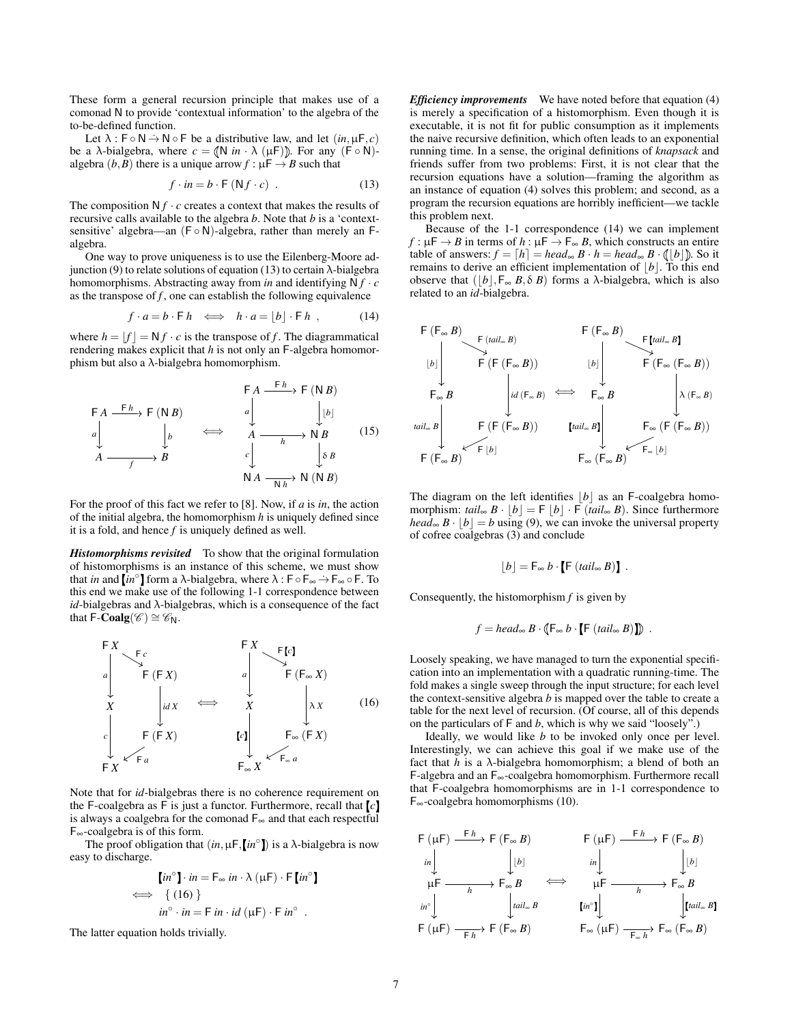These form a general recursion principle that makes use of a comonad N to provide 'contextual information' to the algebra of the to-be-defined function.

Let  $\lambda : F \circ N \to N \circ F$  be a distributive law, and let  $(in, \mu F, c)$ be a  $\lambda$ -bialgebra, where  $c = (\mathbb{N} \in \mathbb{N} \setminus \{ \mu \in \mathbb{N} \})$ . For any  $(\mathbb{F} \circ \mathbb{N})$ algebra  $(b, B)$  there is a unique arrow  $f : \mu \mathsf{F} \to B$  such that

<span id="page-6-0"></span>
$$
f \cdot in = b \cdot \mathsf{F} \left( \mathsf{N} f \cdot c \right) \tag{13}
$$

The composition  $Nf \cdot c$  creates a context that makes the results of recursive calls available to the algebra *b*. Note that *b* is a 'contextsensitive' algebra—an (F ∘ N)-algebra, rather than merely an Falgebra.

One way to prove uniqueness is to use the Eilenberg-Moore adjunction [\(9\)](#page-5-2) to relate solutions of equation [\(13\)](#page-6-0) to certain λ-bialgebra homomorphisms. Abstracting away from *in* and identifying  $Nf \cdot c$ as the transpose of  $f$ , one can establish the following equivalence

<span id="page-6-2"></span>
$$
f \cdot a = b \cdot \mathsf{F} \cdot h \iff h \cdot a = \lfloor b \rfloor \cdot \mathsf{F} \cdot h \tag{14}
$$

where  $h = |f| = Nf \cdot c$  is the transpose of *f*. The diagrammatical rendering makes explicit that *h* is not only an F-algebra homomorphism but also a λ-bialgebra homomorphism.

$$
FA \xrightarrow{F h} F (N B)
$$
\n
$$
A \xrightarrow{f} B
$$
\n
$$
B \xrightarrow{f} B
$$
\n
$$
B \xrightarrow{f} B
$$
\n
$$
B \xrightarrow{f} B
$$
\n
$$
B \xrightarrow{f} B
$$
\n
$$
B \xrightarrow{f} B
$$
\n
$$
A \xrightarrow{f} N A \xrightarrow{N h} N (N B)
$$
\n
$$
(15)
$$

For the proof of this fact we refer to [\[8\]](#page-11-3). Now, if *a* is *in*, the action of the initial algebra, the homomorphism *h* is uniquely defined since it is a fold, and hence *f* is uniquely defined as well.

*Histomorphisms revisited* To show that the original formulation of histomorphisms is an instance of this scheme, we must show that *in* and  $\left[\hat{i}n^{\circ}\right]$  form a  $\lambda$ -bialgebra, where  $\lambda : \mathsf{F} \circ \mathsf{F}_{\infty} \to \mathsf{F}_{\infty} \circ \mathsf{F}$ . To this end we make use of the following 1-1 correspondence between *id*-bialgebras and λ-bialgebras, which is a consequence of the fact that **F-Coalg**( $\mathcal{C}$ ) ≅  $\mathcal{C}_N$ .

<span id="page-6-1"></span>

Note that for *id*-bialgebras there is no coherence requirement on the F-coalgebra as F is just a functor. Furthermore, recall that *c* is always a coalgebra for the comonad F<sup>∞</sup> and that each respectful F∞-coalgebra is of this form.

The proof obligation that  $(in, \mu F, [in \circ])$  is a  $\lambda$ -bialgebra is now easy to discharge.

$$
\begin{aligned}\n\left[\dot{m}^{\circ}\right] \cdot \dot{m} &= \mathsf{F}_{\infty} \, \dot{m} \cdot \lambda \left(\mu \mathsf{F}\right) \cdot \mathsf{F} \left[\dot{m}^{\circ}\right] \\
&\leftrightarrow \quad \left\{\n\begin{array}{c}\n(16) \\
\dot{m}^{\circ} \cdot \dot{m} &= \mathsf{F} \, \dot{m} \cdot \dot{d} \left(\mu \mathsf{F}\right) \cdot \mathsf{F} \, \dot{m}^{\circ}\n\end{array}\n\right.\n\end{aligned}
$$

The latter equation holds trivially.

*Efficiency improvements* We have noted before that equation [\(4\)](#page-4-2) is merely a specification of a histomorphism. Even though it is executable, it is not fit for public consumption as it implements the naive recursive definition, which often leads to an exponential running time. In a sense, the original definitions of *knapsack* and friends suffer from two problems: First, it is not clear that the recursion equations have a solution—framing the algorithm as an instance of equation [\(4\)](#page-4-2) solves this problem; and second, as a program the recursion equations are horribly inefficient—we tackle this problem next.

Because of the 1-1 correspondence [\(14\)](#page-6-2) we can implement  $f : \mu \mathsf{F} \to B$  in terms of  $h : \mu \mathsf{F} \to \mathsf{F}_{\infty} B$ , which constructs an entire table of answers:  $f = [h] = head_{\infty} B \cdot h = head_{\infty} B \cdot (\lfloor b \rfloor)$ . So it remains to derive an efficient implementation of  $\lfloor b \rfloor$ . To this end observe that  $(|b|, F_\infty B, \delta B)$  forms a  $\lambda$ -bialgebra, which is also related to an *id*-bialgebra.

$$
F(F_{\infty} B)
$$
\n
$$
F(\mathbf{F}_{\infty} B)
$$
\n
$$
F(\mathbf{F}_{\infty} B)
$$
\n
$$
F(\mathbf{F}_{\infty} B)
$$
\n
$$
F(\mathbf{F}_{\infty} B)
$$
\n
$$
F(\mathbf{F}_{\infty} B)
$$
\n
$$
F(\mathbf{F}_{\infty} B)
$$
\n
$$
F(\mathbf{F}_{\infty} B)
$$
\n
$$
F(\mathbf{F}_{\infty} B)
$$
\n
$$
F(\mathbf{F}_{\infty} B)
$$
\n
$$
F(\mathbf{F}_{\infty} B)
$$
\n
$$
F(\mathbf{F}_{\infty} B)
$$
\n
$$
F(\mathbf{F}_{\infty} B)
$$
\n
$$
F(\mathbf{F}_{\infty} B)
$$
\n
$$
F(\mathbf{F}_{\infty} B)
$$
\n
$$
F(\mathbf{F}_{\infty} B)
$$
\n
$$
F(\mathbf{F}_{\infty} B)
$$
\n
$$
F(\mathbf{F}_{\infty} B)
$$
\n
$$
F(\mathbf{F}_{\infty} B)
$$
\n
$$
F(\mathbf{F}_{\infty} B)
$$
\n
$$
F(\mathbf{F}_{\infty} B)
$$
\n
$$
F(\mathbf{F}_{\infty} B)
$$

The diagram on the left identifies  $\vert b \vert$  as an F-coalgebra homomorphism:  $tail_{\infty} B \cdot |b| = F |b| \cdot F (tail_{\infty} B)$ . Since furthermore *head*<sub>∞</sub>  $B \cdot |b| = b$  using [\(9\)](#page-5-2), we can invoke the universal property of cofree coalgebras [\(3\)](#page-4-3) and conclude

$$
\lfloor b \rfloor = \mathsf{F}_{\infty} b \cdot \left[ \mathsf{F}\left(\text{tail}_{\infty} B\right) \right] .
$$

Consequently, the histomorphism *f* is given by

$$
f = head_{\infty} B \cdot (\mathsf{F}_{\infty} b \cdot \mathsf{F} (tail_{\infty} B)) \ .
$$

Loosely speaking, we have managed to turn the exponential specification into an implementation with a quadratic running-time. The fold makes a single sweep through the input structure; for each level the context-sensitive algebra *b* is mapped over the table to create a table for the next level of recursion. (Of course, all of this depends on the particulars of F and *b*, which is why we said "loosely".)

Ideally, we would like *b* to be invoked only once per level. Interestingly, we can achieve this goal if we make use of the fact that *h* is a λ-bialgebra homomorphism; a blend of both an F-algebra and an F∞-coalgebra homomorphism. Furthermore recall that F-coalgebra homomorphisms are in 1-1 correspondence to F∞-coalgebra homomorphisms [\(10\)](#page-5-3).

$$
\begin{array}{ccc}\nF(\mu F) & \xrightarrow{F h} & F(F_{\infty} B) & F(\mu F) & \xrightarrow{F h} & F(F_{\infty} B) \\
\downarrow \downarrow \downarrow & & \downarrow \downarrow \downarrow \\
\downarrow \downarrow & & \downarrow \downarrow \\
\downarrow \downarrow & & \downarrow \downarrow \\
\downarrow \downarrow & & \downarrow \downarrow \\
\downarrow \downarrow & & \downarrow \downarrow \\
\downarrow \downarrow & & \downarrow \downarrow \\
\downarrow \downarrow & & \downarrow \downarrow \\
\downarrow \downarrow & & \downarrow \downarrow \\
\downarrow \downarrow & & \downarrow \downarrow \\
\downarrow \downarrow & & \downarrow \downarrow \\
\downarrow \downarrow & & \downarrow \downarrow \\
\downarrow \downarrow & & \downarrow \downarrow \\
\downarrow \downarrow & & \downarrow \downarrow \\
\downarrow \downarrow & & \downarrow \downarrow \\
\downarrow \downarrow & & \downarrow \downarrow \\
\downarrow \downarrow & & \downarrow \downarrow \\
\downarrow \downarrow & & \downarrow \downarrow \\
\downarrow \downarrow & & \downarrow \downarrow \\
\downarrow \downarrow & & \downarrow \downarrow \\
\downarrow \downarrow & & \downarrow \downarrow \\
\downarrow \downarrow & & \downarrow \downarrow \\
\downarrow \downarrow & & \downarrow \downarrow \\
\downarrow \downarrow & & \downarrow \downarrow \\
\downarrow \downarrow & & \downarrow \downarrow \\
\downarrow \downarrow & & \downarrow \downarrow \\
\downarrow \downarrow & & \downarrow \downarrow \\
\downarrow \downarrow & & \downarrow \downarrow \\
\downarrow \downarrow & & \downarrow \downarrow \\
\downarrow \downarrow & & \downarrow \downarrow \\
\downarrow \downarrow & & \downarrow \downarrow \\
\downarrow \downarrow & & \downarrow \downarrow \\
\downarrow \downarrow & & \downarrow \downarrow \\
\downarrow \downarrow & & \downarrow \downarrow \\
\downarrow \downarrow & & \downarrow \downarrow \\
\downarrow \downarrow & & \downarrow \downarrow \\
\downarrow \downarrow & & \downarrow \downarrow \\
\downarrow \downarrow & & \downarrow \downarrow \\
\downarrow \downarrow & & \downarrow \downarrow \\
\downarrow \downarrow & & \downarrow \downarrow \\
\downarrow \downarrow & & \downarrow \downarrow \\
\downarrow \downarrow & & \downarrow \downarrow \\
\downarrow \downarrow & & \downarrow \downarrow \\
\downarrow \downarrow & & \downarrow \downarrow \\
\downarrow \downarrow & & \downarrow \downarrow \\
\downarrow \downarrow & & \downarrow \downarrow \\
\downarrow \downarrow & & \downarrow \downarrow \\
\downarrow \downarrow & &
$$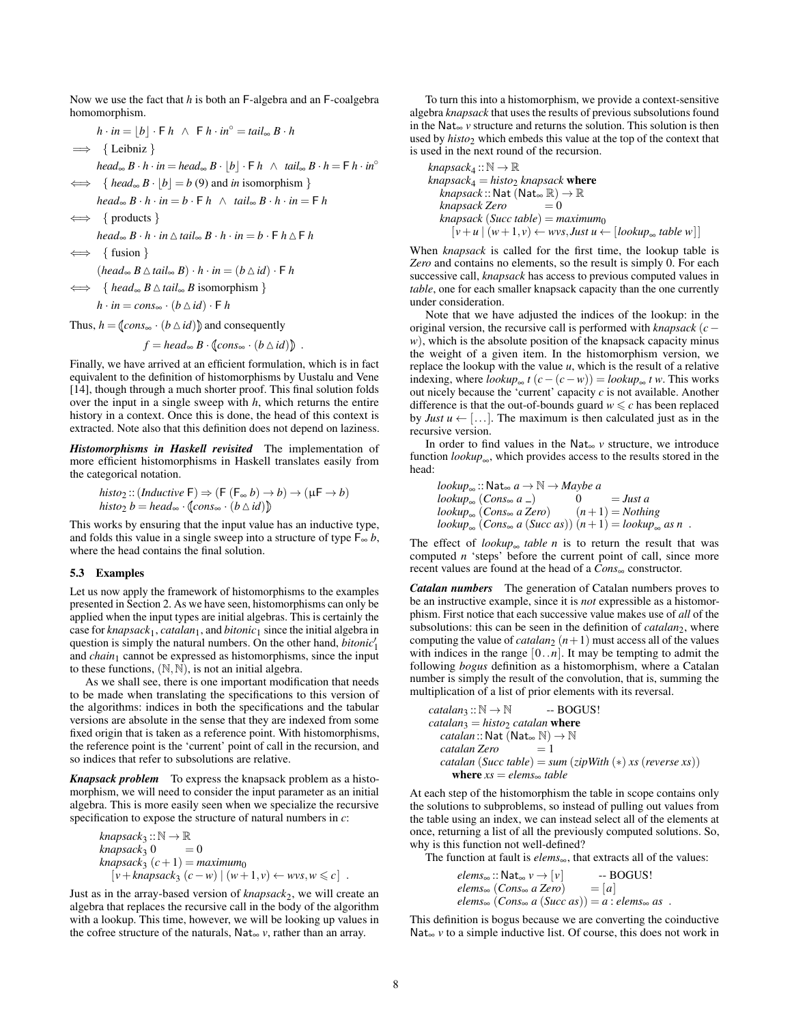Now we use the fact that *h* is both an F-algebra and an F-coalgebra homomorphism.

$$
h \cdot in = \lfloor b \rfloor \cdot \mathsf{F} \ h \ \wedge \ \mathsf{F} \ h \cdot in^{\circ} = tail_{\infty} \ B \cdot h
$$

$$
\implies \{ Leibniz \}
$$

$$
head_{\infty} B \cdot h \cdot in = head_{\infty} B \cdot \lfloor b \rfloor \cdot \mathsf{F} h \ \wedge \ tail_{\infty} B \cdot h = \mathsf{F} h \cdot in^{\circ}
$$

$$
\iff \{ \text{head}_{\infty} B \cdot \lfloor b \rfloor = b \ (9) \text{ and } \text{in isomorphism } \}
$$

$$
head_{\infty} B \cdot h \cdot in = b \cdot \mathsf{F} h \ \wedge \ tail_{\infty} B \cdot h \cdot in = \mathsf{F} h
$$

$$
\iff \{ \text{products } \}
$$

$$
head_{\infty} B \cdot h \cdot in \triangle tail_{\infty} B \cdot h \cdot in = b \cdot F h \triangle F h
$$

$$
\iff \{ fusion
$$

$$
(head_{\infty} B \triangle tail_{\infty} B) \cdot h \cdot in = (b \triangle id) \cdot \mathsf{F} h
$$

$$
\iff \{ \text{head}_{\infty} \, B \, \triangle \, \text{tail}_{\infty} \, B \, \text{isomorphism} \, \}
$$

$$
h \cdot in = cons_{\infty} \cdot (b \bigtriangleup id) \cdot \mathsf{F} \, h
$$

 $\}$ 

Thus,  $h = (cons_\infty \cdot (b \triangle id))$  and consequently

$$
f = head_{\infty} B \cdot \langle \text{cons}_{\infty} \cdot (b \triangle id) \rangle .
$$

Finally, we have arrived at an efficient formulation, which is in fact equivalent to the definition of histomorphisms by Uustalu and Vene [\[14\]](#page-11-0), though through a much shorter proof. This final solution folds over the input in a single sweep with *h*, which returns the entire history in a context. Once this is done, the head of this context is extracted. Note also that this definition does not depend on laziness.

*Histomorphisms in Haskell revisited* The implementation of more efficient histomorphisms in Haskell translates easily from the categorical notation.

$$
histo_2 :: (Inductive F) \Rightarrow (F (F_{\infty} b) \rightarrow b) \rightarrow (\mu F \rightarrow b)
$$
  

$$
histo_2 b = head_{\infty} \cdot (\text{cons}_{\infty} \cdot (b \triangle id))
$$

This works by ensuring that the input value has an inductive type, and folds this value in a single sweep into a structure of type  $\mathsf{F}_{\infty}$  *b*, where the head contains the final solution.

### 5.3 Examples

Let us now apply the framework of histomorphisms to the examples presented in Section [2.](#page-1-0) As we have seen, histomorphisms can only be applied when the input types are initial algebras. This is certainly the case for *knapsack*<sup>1</sup> , *catalan*1, and *bitonic*<sup>1</sup> since the initial algebra in question is simply the natural numbers. On the other hand, *bitonic*<sup>'</sup><sup>1</sup> and *chain*<sub>1</sub> cannot be expressed as histomorphisms, since the input to these functions,  $(N, N)$ , is not an initial algebra.

As we shall see, there is one important modification that needs to be made when translating the specifications to this version of the algorithms: indices in both the specifications and the tabular versions are absolute in the sense that they are indexed from some fixed origin that is taken as a reference point. With histomorphisms, the reference point is the 'current' point of call in the recursion, and so indices that refer to subsolutions are relative.

*Knapsack problem* To express the knapsack problem as a histomorphism, we will need to consider the input parameter as an initial algebra. This is more easily seen when we specialize the recursive specification to expose the structure of natural numbers in *c*:

$$
knapsack_3 :: \mathbb{N} \to \mathbb{R}
$$
  
\n
$$
knapsack_3 0 = 0
$$
  
\n
$$
knapsack_3 (c+1) = maximum_0
$$
  
\n
$$
[v + knapsack_3 (c-w) | (w+1, v) \leftarrow wvs, w \leq c].
$$

Just as in the array-based version of *knapsack*<sub>2</sub>, we will create an algebra that replaces the recursive call in the body of the algorithm with a lookup. This time, however, we will be looking up values in the cofree structure of the naturals, Nat<sup>∞</sup> *v*, rather than an array.

To turn this into a histomorphism, we provide a context-sensitive algebra *knapsack* that uses the results of previous subsolutions found in the Nat<sup>∞</sup> *v* structure and returns the solution. This solution is then used by *histo*<sup>2</sup> which embeds this value at the top of the context that is used in the next round of the recursion.

$$
knapsack_4::\mathbb{N} \to \mathbb{R}
$$
\n
$$
knapsack_4 = hist_2 knapsack
$$
 where\n
$$
knapsack::\mathsf{Nat}(\mathsf{Nat}_{\infty} \mathbb{R}) \to \mathbb{R}
$$
\n
$$
knapsack \, Zero \qquad = 0
$$
\n
$$
knapsack \, (Succ table) = maximum_0
$$
\n
$$
[v+u \mid (w+1,v) \leftarrow wvs, Just \, u \leftarrow [lookup_{\infty} \, table \, w]]
$$

When *knapsack* is called for the first time, the lookup table is *Zero* and contains no elements, so the result is simply 0. For each successive call, *knapsack* has access to previous computed values in *table*, one for each smaller knapsack capacity than the one currently under consideration.

Note that we have adjusted the indices of the lookup: in the original version, the recursive call is performed with *knapsack* (*c*− *w*), which is the absolute position of the knapsack capacity minus the weight of a given item. In the histomorphism version, we replace the lookup with the value  $u$ , which is the result of a relative indexing, where  $lookup_{\infty} t (c - (c - w)) = lookup_{\infty} t w$ . This works out nicely because the 'current' capacity *c* is not available. Another difference is that the out-of-bounds guard  $w \leq c$  has been replaced by *Just*  $u \leftarrow [\dots]$ . The maximum is then calculated just as in the recursive version.

In order to find values in the Nat<sup>∞</sup> *v* structure, we introduce function *lookup*∞, which provides access to the results stored in the head:

$$
lookup_{\infty}::\mathsf{Nat}_{\infty} a \to \mathbb{N} \to \mathit{Maybe } a
$$
  
\n
$$
lookup_{\infty}(\mathit{Cons}_{\infty} a \_) \qquad 0 = Just a
$$
  
\n
$$
lookup_{\infty}(\mathit{Cons}_{\infty} a \, \mathit{Zero}) \qquad (n+1) = \mathit{Nothing}
$$
  
\n
$$
lookup_{\infty}(\mathit{Cons}_{\infty} a \, (\mathit{Succ} as)) \, (n+1) = lookup_{\infty} as n .
$$

The effect of *lookup<sub>∞</sub> table n* is to return the result that was computed *n* 'steps' before the current point of call, since more recent values are found at the head of a *Cons*<sup>∞</sup> constructor.

*Catalan numbers* The generation of Catalan numbers proves to be an instructive example, since it is *not* expressible as a histomorphism. First notice that each successive value makes use of *all* of the subsolutions: this can be seen in the definition of *catalan*<sub>2</sub>, where computing the value of  $catalan_2(n+1)$  must access all of the values with indices in the range  $[0..n]$ . It may be tempting to admit the following *bogus* definition as a histomorphism, where a Catalan number is simply the result of the convolution, that is, summing the multiplication of a list of prior elements with its reversal.

$$
\begin{array}{ll}\n\text{catalan}_3::\mathbb{N} \to \mathbb{N} & \text{--BOGUS!} \\
\text{catalan}_3 = \text{histo}_2 \text{catalan} \text{ where} \\
\text{catalan}::\text{Nat}(\text{Nat}_{\infty} \mathbb{N}) \to \mathbb{N} \\
\text{catalan Zero} & = 1 \\
\text{catalan}(\text{Succ table}) = \text{sum}(\text{zipWith} (*) \text{ xs} (\text{reverse xs})) \\
\text{where xs} = \text{elements}_{\infty} \text{ table}\n\end{array}
$$

At each step of the histomorphism the table in scope contains only the solutions to subproblems, so instead of pulling out values from the table using an index, we can instead select all of the elements at once, returning a list of all the previously computed solutions. So, why is this function not well-defined?

The function at fault is *elems*∞, that extracts all of the values:

$$
elements_{\infty}::\text{Nat}_{\infty} v \rightarrow [v] \qquad -- BOGUS!
$$
  
elements<sub>\infty</sub> (Cons<sub>\infty</sub> a Zero) = [a]  
elements<sub>\infty</sub> (Cons<sub>\infty</sub> a (Succ as)) = a : elements<sub>\infty</sub> as .

This definition is bogus because we are converting the coinductive Nat<sup>∞</sup> *v* to a simple inductive list. Of course, this does not work in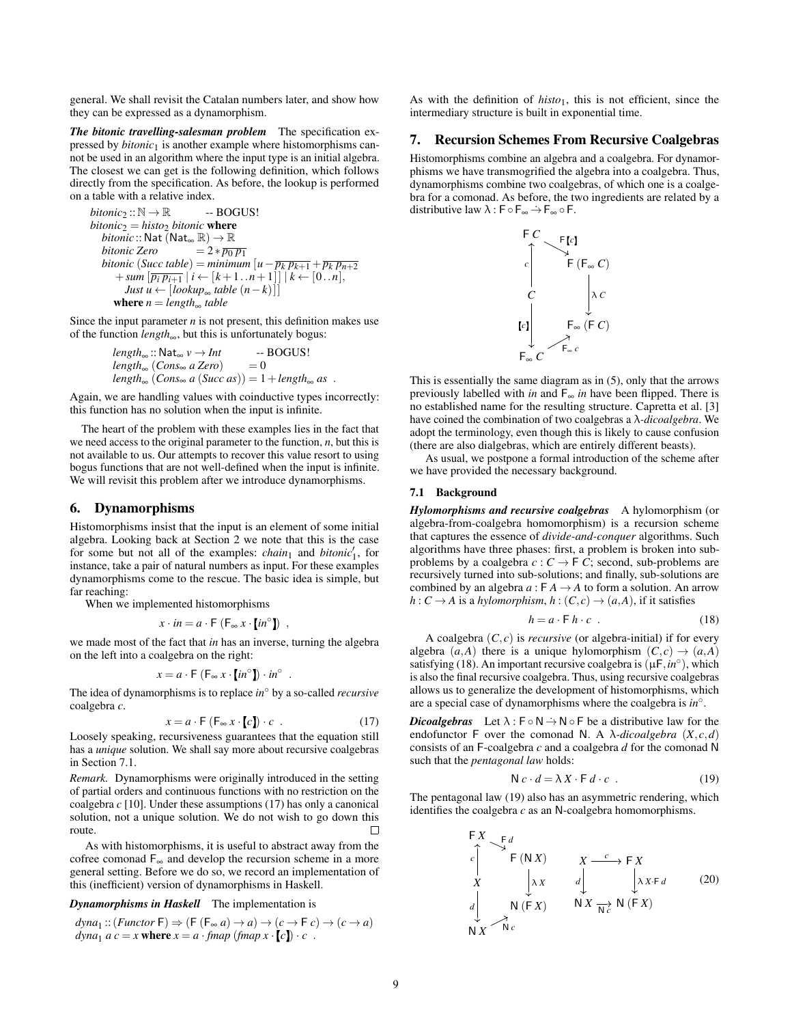general. We shall revisit the Catalan numbers later, and show how they can be expressed as a dynamorphism.

*The bitonic travelling-salesman problem* The specification expressed by *bitonic*<sub>1</sub> is another example where histomorphisms cannot be used in an algorithm where the input type is an initial algebra. The closest we can get is the following definition, which follows directly from the specification. As before, the lookup is performed on a table with a relative index.

 $bitionic_2: \mathbb{N} \to \mathbb{R}$  -- BOGUS! *bitonic*<sub>2</sub> = *histo*<sub>2</sub> *bitonic* where *bitonic* :: Nat  $(\text{Nat}_{\infty} \mathbb{R}) \to \mathbb{R}$ <br>*bitonic Zero* =  $2 * \overline{b_0}$  $= 2 * \overline{p_0 p_1}$ *bitonic* (*Succ table*) = *minimum*  $[u - \overline{p_k p_{k+1}} + \overline{p_k p_{n+2}}]$  $+ sum \left[ \overline{p_i p_{i+1}} \mid i \leftarrow [k+1..n+1] \right] \mid k \leftarrow [0..n],$ *Just*  $u$  ← [*lookup*<sub>∞</sub> *table*  $(n - k)$ ]] where  $n = length_{\infty}$  *table* 

Since the input parameter *n* is not present, this definition makes use of the function *length*∞, but this is unfortunately bogus:

> *length*<sub>∞</sub> :: Nat<sub>∞</sub>  $v \rightarrow Int$  -- BOGUS!<br>*length*<sub>∞</sub> (*Cons*∞ *a* Zero) = 0 *length*<sup>∞</sup> (*Cons*<sup>∞</sup> *a Zero*) = 0  $length_{\infty}$  (*Cons*<sub>∞</sub> *a* (*Succ as*)) = 1+*length*<sub>∞</sub> *as* .

Again, we are handling values with coinductive types incorrectly: this function has no solution when the input is infinite.

The heart of the problem with these examples lies in the fact that we need access to the original parameter to the function, *n*, but this is not available to us. Our attempts to recover this value resort to using bogus functions that are not well-defined when the input is infinite. We will revisit this problem after we introduce dynamorphisms.

## <span id="page-8-0"></span>6. Dynamorphisms

Histomorphisms insist that the input is an element of some initial algebra. Looking back at Section [2](#page-1-0) we note that this is the case for some but not all of the examples: *chain*<sub>1</sub> and *bitonic*<sup> $\prime$ </sup><sub>1</sub>, for instance, take a pair of natural numbers as input. For these examples dynamorphisms come to the rescue. The basic idea is simple, but far reaching:

When we implemented histomorphisms

$$
x \cdot in = a \cdot \mathsf{F} \left( \mathsf{F}_{\infty} \, x \cdot \left[ \text{in}^{\circ} \right] \right) ,
$$

we made most of the fact that *in* has an inverse, turning the algebra on the left into a coalgebra on the right:

$$
x = a \cdot \mathsf{F} \left( \mathsf{F}_{\infty} \, x \cdot \left[ \mathit{in}^{\circ} \right] \right) \cdot \mathit{in}^{\circ} \ .
$$

The idea of dynamorphisms is to replace *in*◦ by a so-called *recursive* coalgebra *c*.

<span id="page-8-3"></span>
$$
x = a \cdot \mathsf{F} \left( \mathsf{F}_{\infty} \, x \cdot \left[ c \right] \right) \cdot c \tag{17}
$$

Loosely speaking, recursiveness guarantees that the equation still has a *unique* solution. We shall say more about recursive coalgebras in Section [7.1.](#page-8-2)

*Remark.* Dynamorphisms were originally introduced in the setting of partial orders and continuous functions with no restriction on the coalgebra *c* [\[10\]](#page-11-1). Under these assumptions [\(17\)](#page-8-3) has only a canonical solution, not a unique solution. We do not wish to go down this route.  $\Box$ 

As with histomorphisms, it is useful to abstract away from the cofree comonad F<sup>∞</sup> and develop the recursion scheme in a more general setting. Before we do so, we record an implementation of this (inefficient) version of dynamorphisms in Haskell.

## *Dynamorphisms in Haskell* The implementation is

 $dyna_1 :: (Function F) \Rightarrow (F (F_{\infty} a) \rightarrow a) \rightarrow (c \rightarrow F c) \rightarrow (c \rightarrow a)$ *dyna*<sub>1</sub>  $a c = x$  where  $x = a \cdot \text{fmap}$  (fmap  $x \cdot [c] \cdot c$ .

As with the definition of *histo*1, this is not efficient, since the intermediary structure is built in exponential time.

# <span id="page-8-1"></span>7. Recursion Schemes From Recursive Coalgebras

Histomorphisms combine an algebra and a coalgebra. For dynamorphisms we have transmogrified the algebra into a coalgebra. Thus, dynamorphisms combine two coalgebras, of which one is a coalgebra for a comonad. As before, the two ingredients are related by a distributive law  $\lambda : F \circ F_{\infty} \to F_{\infty} \circ F$ .



This is essentially the same diagram as in [\(5\)](#page-5-4), only that the arrows previously labelled with *in* and F<sup>∞</sup> *in* have been flipped. There is no established name for the resulting structure. Capretta et al. [\[3\]](#page-11-12) have coined the combination of two coalgebras a λ*-dicoalgebra*. We adopt the terminology, even though this is likely to cause confusion (there are also dialgebras, which are entirely different beasts).

As usual, we postpone a formal introduction of the scheme after we have provided the necessary background.

## <span id="page-8-2"></span>7.1 Background

*Hylomorphisms and recursive coalgebras* A hylomorphism (or algebra-from-coalgebra homomorphism) is a recursion scheme that captures the essence of *divide-and-conquer* algorithms. Such algorithms have three phases: first, a problem is broken into subproblems by a coalgebra  $c: C \to F$  *C*; second, sub-problems are recursively turned into sub-solutions; and finally, sub-solutions are combined by an algebra  $a : F A \rightarrow A$  to form a solution. An arrow  $h: C \rightarrow A$  is a *hylomorphism*,  $h: (C, c) \rightarrow (a, A)$ , if it satisfies

<span id="page-8-4"></span>
$$
h = a \cdot \mathsf{F} \, h \cdot c \tag{18}
$$

A coalgebra  $(C, c)$  is *recursive* (or algebra-initial) if for every algebra  $(a, A)$  there is a unique hylomorphism  $(C, c) \rightarrow (a, A)$ satisfying [\(18\)](#page-8-4). An important recursive coalgebra is  $(\mu F, in^{\circ})$ , which is also the final recursive coalgebra. Thus, using recursive coalgebras allows us to generalize the development of histomorphisms, which are a special case of dynamorphisms where the coalgebra is *in*◦ .

*Dicoalgebras* Let  $\lambda : F \circ N \to N \circ F$  be a distributive law for the endofunctor F over the comonad N. A  $\lambda$ -dicoalgebra  $(X, c, d)$ consists of an F-coalgebra *c* and a coalgebra *d* for the comonad N such that the *pentagonal law* holds:

<span id="page-8-5"></span>
$$
N c \cdot d = \lambda X \cdot F d \cdot c \tag{19}
$$

The pentagonal law [\(19\)](#page-8-5) also has an asymmetric rendering, which identifies the coalgebra *c* as an N-coalgebra homomorphisms.

$$
\begin{array}{ccc}\n\mathsf{F}X & \mathsf{F}d \\
\downarrow & \mathsf{F}(\mathsf{N}X) & X \xrightarrow{c} \mathsf{F}X \\
X & \downarrow \lambda x & d & \downarrow \lambda x \mathsf{F}d \\
d & \mathsf{N}(\mathsf{F}X) & \mathsf{N}X \xrightarrow{\mathsf{N}c} \mathsf{N}(\mathsf{F}X) \\
\mathsf{N}X & \stackrel{\lambda}{\mathsf{N}c} & \mathsf{N}(\mathsf{F}X)\n\end{array} \tag{20}
$$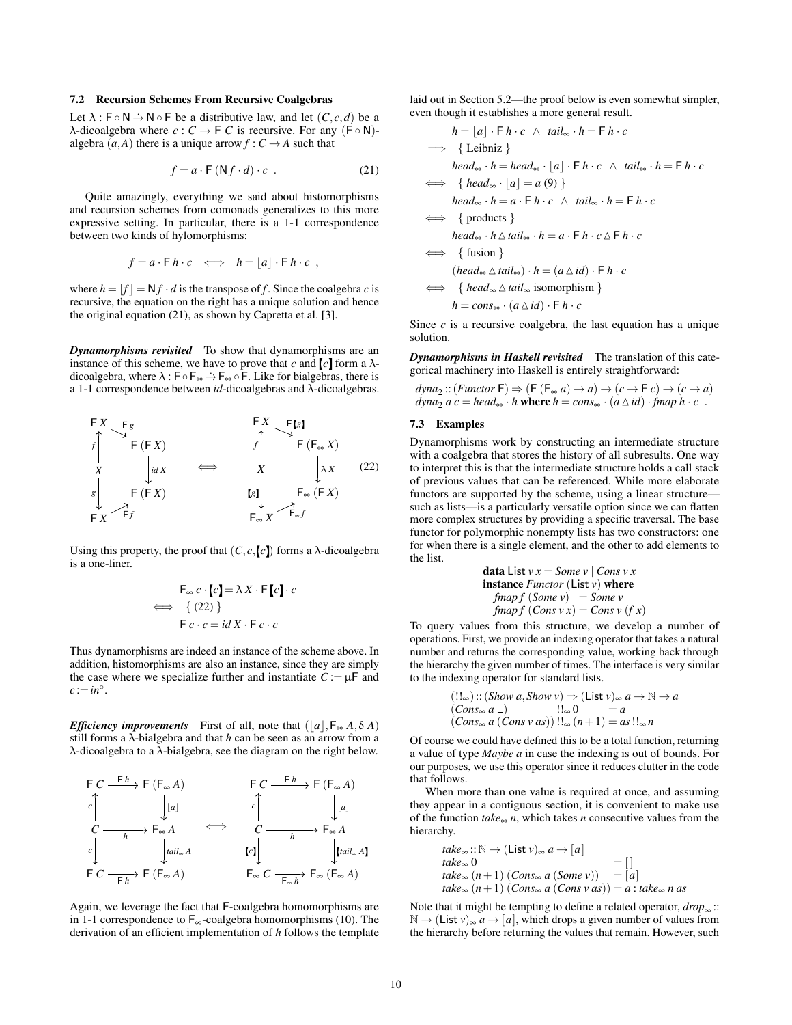### 7.2 Recursion Schemes From Recursive Coalgebras

Let  $\lambda$ :  $F \circ N \to N \circ F$  be a distributive law, and let  $(C, c, d)$  be a λ-dicoalgebra where *c* : *C* → F *C* is recursive. For any (F ∘ N)algebra  $(a, A)$  there is a unique arrow  $f : C \rightarrow A$  such that

<span id="page-9-0"></span>
$$
f = a \cdot \mathsf{F} \left( \mathsf{N} f \cdot d \right) \cdot c \tag{21}
$$

Quite amazingly, everything we said about histomorphisms and recursion schemes from comonads generalizes to this more expressive setting. In particular, there is a 1-1 correspondence between two kinds of hylomorphisms:

$$
f = a \cdot \mathsf{F} h \cdot c \iff h = |a| \cdot \mathsf{F} h \cdot c
$$
,

where  $h = |f| = Nf \cdot d$  is the transpose of *f*. Since the coalgebra *c* is recursive, the equation on the right has a unique solution and hence the original equation [\(21\)](#page-9-0), as shown by Capretta et al. [\[3\]](#page-11-12).

*Dynamorphisms revisited* To show that dynamorphisms are an instance of this scheme, we have to prove that  $c$  and  $c$  form a  $\lambda$ dicoalgebra, where  $\lambda : \mathsf{F} \circ \mathsf{F}_\infty \to \mathsf{F}_\infty \circ \mathsf{F}$ . Like for bialgebras, there is a 1-1 correspondence between *id*-dicoalgebras and λ-dicoalgebras.

<span id="page-9-1"></span>

| $F X$ | $F g$           | $F X$          | $F[g]$                 |      |
|-------|-----------------|----------------|------------------------|------|
| $f$   | $F (F X)$       | $f$            | $F (F_{\infty} X)$     |      |
| $X$   | $\downarrow dX$ | $X$            | $\downarrow \lambda X$ | (22) |
| $s$   | $F (F X)$       | $[s]$          | $F_{\infty} (F X)$     |      |
| $F X$ | $F f$           | $F_{\infty} X$ | $\downarrow \lambda X$ | (22) |

Using this property, the proof that  $(C, c, [c])$  forms a  $\lambda$ -dicoalgebra is a one-liner.

$$
\begin{aligned}\n\mathsf{F}_{\infty} \ c \cdot [\mathsf{c}] &= \lambda \ X \cdot \mathsf{F}[\mathsf{c}] \cdot c \\
&\iff \{ (22) \} \\
\mathsf{F} \ c \cdot c &= id \ X \cdot \mathsf{F} \ c \cdot c\n\end{aligned}
$$

Thus dynamorphisms are indeed an instance of the scheme above. In addition, histomorphisms are also an instance, since they are simply the case where we specialize further and instantiate  $C := \mu F$  and  $c := in^\circ$ .

*Efficiency improvements* First of all, note that  $(|a|, F_{\infty} A, \delta A)$ still forms a λ-bialgebra and that *h* can be seen as an arrow from a λ-dicoalgebra to a λ-bialgebra, see the diagram on the right below.



Again, we leverage the fact that F-coalgebra homomorphisms are in 1-1 correspondence to  $F_{\infty}$ -coalgebra homomorphisms [\(10\)](#page-5-3). The derivation of an efficient implementation of *h* follows the template

laid out in Section [5.2—](#page-5-5)the proof below is even somewhat simpler, even though it establishes a more general result.

$$
h = [a] \cdot F \cdot h \cdot c \wedge tail_{\infty} \cdot h = F \cdot h \cdot c
$$
  
\n
$$
\implies \{ \text{Leibniz} \}
$$
  
\n
$$
head_{\infty} \cdot h = head_{\infty} \cdot [a] \cdot F \cdot h \cdot c \wedge tail_{\infty} \cdot h = F \cdot h \cdot c
$$
  
\n
$$
\iff \{ head_{\infty} \cdot h = a \cdot F \cdot h \cdot c \wedge tail_{\infty} \cdot h = F \cdot h \cdot c
$$
  
\n
$$
\iff \{ \text{products} \}
$$
  
\n
$$
head_{\infty} \cdot h \triangle tail_{\infty} \cdot h = a \cdot F \cdot h \cdot c \triangle F \cdot h \cdot c
$$
  
\n
$$
\iff \{ \text{fusion} \}
$$
  
\n
$$
(head_{\infty} \triangle tail_{\infty}) \cdot h = (a \triangle id) \cdot F \cdot h \cdot c
$$
  
\n
$$
\iff \{ head_{\infty} \triangle tail_{\infty} \text{ isomorphism} \}
$$
  
\n
$$
h = cons_{\infty} \cdot (a \triangle id) \cdot F \cdot h \cdot c
$$

Since *c* is a recursive coalgebra, the last equation has a unique solution.

*Dynamorphisms in Haskell revisited* The translation of this categorical machinery into Haskell is entirely straightforward:

$$
dyna_2 :: (Function F) \Rightarrow (F (\mathbb{F}_{\infty} a) \rightarrow a) \rightarrow (c \rightarrow F c) \rightarrow (c \rightarrow a)
$$
  

$$
dyna_2 a c = head_{\infty} \cdot h \text{ where } h = cons_{\infty} \cdot (a \triangle id) \cdot fmap h \cdot c
$$

#### 7.3 Examples

Dynamorphisms work by constructing an intermediate structure with a coalgebra that stores the history of all subresults. One way to interpret this is that the intermediate structure holds a call stack of previous values that can be referenced. While more elaborate functors are supported by the scheme, using a linear structure such as lists—is a particularly versatile option since we can flatten more complex structures by providing a specific traversal. The base functor for polymorphic nonempty lists has two constructors: one for when there is a single element, and the other to add elements to the list.

**data** List 
$$
v x = Some
$$
  $v \mid Cons v x$   
**instance** Function (List  $v$ ) **where**  
*frapp f* (Some  $v$ ) = Some  $v$   
*frapp f* (Cons  $v x$ ) = Cons  $v$  (f  $x$ )

To query values from this structure, we develop a number of operations. First, we provide an indexing operator that takes a natural number and returns the corresponding value, working back through the hierarchy the given number of times. The interface is very similar to the indexing operator for standard lists.

$$
\begin{array}{lll}\n(!!_{\infty}) :: (Show \ a, Show \ v) \Rightarrow (\text{List } v)_{\infty} \ a \to \mathbb{N} \to a \\
(Cons_{\infty} \ a \ ) & \cdots \ S & = a \\
(Cons_{\infty} \ a \ (Cons \ v \ as)) \ \mathop{!!_{\infty}}\nolimits(n+1) = as \ \mathop{!!_{\infty}}\nolimits n\n\end{array}
$$

Of course we could have defined this to be a total function, returning a value of type *Maybe a* in case the indexing is out of bounds. For our purposes, we use this operator since it reduces clutter in the code that follows.

When more than one value is required at once, and assuming they appear in a contiguous section, it is convenient to make use of the function *take*<sup>∞</sup> *n*, which takes *n* consecutive values from the hierarchy.

$$
take_{\infty}::\mathbb{N} \to (\text{List } v)_{\infty} a \to [a]
$$
  
\n
$$
take_{\infty} 0 = []
$$
  
\n
$$
take_{\infty} (n+1) (Cons_{\infty} a (Some v)) = [a]
$$
  
\n
$$
take_{\infty} (n+1) (Cons_{\infty} a (Cons v as)) = a : take_{\infty} n as
$$

Note that it might be tempting to define a related operator, *drop*<sup>∞</sup> ::  $\mathbb{N} \to (\text{List } v)_{\infty} a \to [a]$ , which drops a given number of values from the hierarchy before returning the values that remain. However, such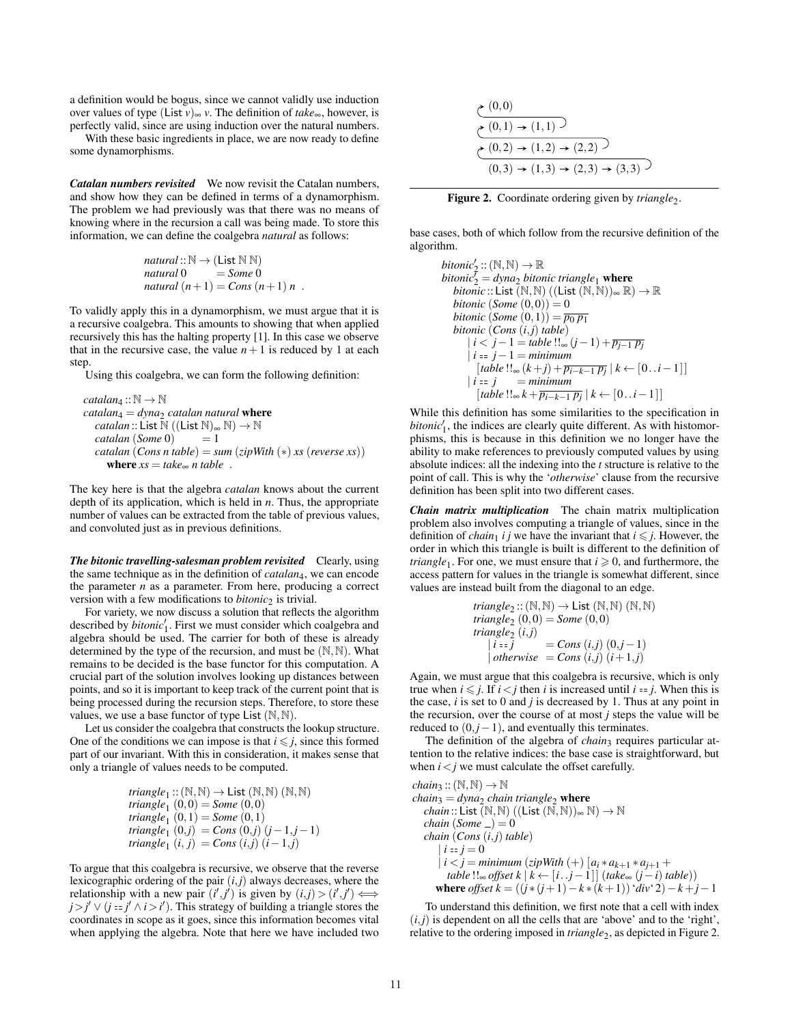a definition would be bogus, since we cannot validly use induction over values of type (List *v*)∞ *v*. The definition of *take*∞, however, is perfectly valid, since are using induction over the natural numbers.

With these basic ingredients in place, we are now ready to define some dynamorphisms.

*Catalan numbers revisited* We now revisit the Catalan numbers, and show how they can be defined in terms of a dynamorphism. The problem we had previously was that there was no means of knowing where in the recursion a call was being made. To store this information, we can define the coalgebra *natural* as follows:

natural::
$$
\mathbb{N} \rightarrow
$$
 (List  $\mathbb{N} \mathbb{N}$ )  
natural 0 = Some 0  
natural (n+1) = Cons (n+1) n.

To validly apply this in a dynamorphism, we must argue that it is a recursive coalgebra. This amounts to showing that when applied recursively this has the halting property [\[1\]](#page-11-13). In this case we observe that in the recursive case, the value  $n+1$  is reduced by 1 at each step.

Using this coalgebra, we can form the following definition:

$$
catalan_4::\mathbb{N} \to \mathbb{N}
$$
  
\n
$$
catalan_4 = dyna_2 \text{ catalan natural where}
$$
  
\n
$$
catalan::List \mathbb{N} ((List \mathbb{N})_{\infty} \mathbb{N}) \to \mathbb{N}
$$
  
\n
$$
catalan (Some 0) = 1
$$
  
\n
$$
catalan (Cons n table) = sum (zipWith (*) xs (reverse xs))
$$
  
\nwhere xs = take<sub>∞</sub> n table .

The key here is that the algebra *catalan* knows about the current depth of its application, which is held in *n*. Thus, the appropriate number of values can be extracted from the table of previous values, and convoluted just as in previous definitions.

*The bitonic travelling-salesman problem revisited* Clearly, using the same technique as in the definition of *catalan*4, we can encode the parameter *n* as a parameter. From here, producing a correct version with a few modifications to *bitonic*<sub>2</sub> is trivial.

For variety, we now discuss a solution that reflects the algorithm described by *bitonic*<sup>'</sup><sub>1</sub>. First we must consider which coalgebra and algebra should be used. The carrier for both of these is already determined by the type of the recursion, and must be  $(N, N)$ . What remains to be decided is the base functor for this computation. A crucial part of the solution involves looking up distances between points, and so it is important to keep track of the current point that is being processed during the recursion steps. Therefore, to store these values, we use a base functor of type List  $(N, N)$ .

Let us consider the coalgebra that constructs the lookup structure. One of the conditions we can impose is that  $i \le j$ , since this formed part of our invariant. With this in consideration, it makes sense that only a triangle of values needs to be computed.

*triangle*<sup>1</sup> ::(N,N) → List (N,N) (N,N) *triangle*<sup>1</sup> (0,0) = *Some* (0,0) *triangle*<sup>1</sup> (0,1) = *Some* (0,1) *triangle*<sup>1</sup> (0,*j*) = *Cons* (0,*j*) (*j*−1,*j*−1) *triangle*<sup>1</sup> (*i*, *j*) = *Cons* (*i*,*j*) (*i*−1,*j*)

To argue that this coalgebra is recursive, we observe that the reverse lexicographic ordering of the pair (*i*,*j*) always decreases, where the relationship with a new pair  $(i',j')$  is given by  $(i,j) > (i',j') \iff$  $j > j' \vee (j == j' \wedge i > i')$ . This strategy of building a triangle stores the coordinates in scope as it goes, since this information becomes vital when applying the algebra. Note that here we have included two

$$
(0,0)
$$
  
\n
$$
(0,1) \rightarrow (1,1)
$$
  
\n
$$
(0,2) \rightarrow (1,2) \rightarrow (2,2)
$$
  
\n
$$
(0,3) \rightarrow (1,3) \rightarrow (2,3) \rightarrow (3,3)
$$

<span id="page-10-0"></span>Figure 2. Coordinate ordering given by *triangle*<sub>2</sub>.

base cases, both of which follow from the recursive definition of the algorithm.

```
bitonic'_{2}::(\mathbb{N},\mathbb{N})\rightarrow\mathbb{R}bitonic\zeta_2 = dyna<sub>2</sub> bitonic triangle<sub>1</sub> where
  bitonic :: List (N, N) ((List (N, N))<sub>∞</sub> R) \rightarrow \mathbb{R}bitonic (Some(0,0)) = 0bitonic (Some (0,1)) = \overline{p_0 p_1}bitonic (Cons (i,j) table)
       | i < j−1 = table !!∞ (j−1) +pj−1 pj
       | i j−1 = minimum
          [table !!∞ (k +j) +pi−k−1 pj
| k ← [0..i−1]]
       |i == j = minimum[table!!_\infty k + \overline{p_{i-k-1}p_j} \mid k \leftarrow [0..i-1]]
```
While this definition has some similarities to the specification in bitonic<sup>'</sup><sub>1</sub>, the indices are clearly quite different. As with histomorphisms, this is because in this definition we no longer have the ability to make references to previously computed values by using absolute indices: all the indexing into the *t* structure is relative to the point of call. This is why the '*otherwise*' clause from the recursive definition has been split into two different cases.

*Chain matrix multiplication* The chain matrix multiplication problem also involves computing a triangle of values, since in the definition of *chain*<sub>1</sub> *i j* we have the invariant that  $i \leq j$ . However, the order in which this triangle is built is different to the definition of *triangle*<sub>1</sub>. For one, we must ensure that  $i \ge 0$ , and furthermore, the access pattern for values in the triangle is somewhat different, since values are instead built from the diagonal to an edge.

triangle<sub>2</sub> :: (N, N) 
$$
\rightarrow
$$
 List (N, N) (N, N)  
triangle<sub>2</sub> (0,0) = Some (0,0)  
triangle<sub>2</sub> (i,j)  
| *i* == *j* = Cons (i,j) (0,j-1)  
| otherwise = Cons (i,j) (i+1,j)

Again, we must argue that this coalgebra is recursive, which is only true when  $i \le j$ . If  $i < j$  then *i* is increased until  $i = j$ . When this is the case,  $i$  is set to 0 and  $j$  is decreased by 1. Thus at any point in the recursion, over the course of at most *j* steps the value will be reduced to  $(0,j-1)$ , and eventually this terminates.

The definition of the algebra of *chain*<sub>3</sub> requires particular attention to the relative indices: the base case is straightforward, but when  $i < j$  we must calculate the offset carefully.

chain<sub>3</sub> :: (N,N) 
$$
\rightarrow
$$
 N  
\nchain<sub>3</sub> = dyn*a*<sub>2</sub> chain triangle<sub>2</sub> where  
\nchain :: List (N,N) ((List (N,N)) $\sim$  N)  $\rightarrow$  N  
\nchain (Some  $\_$ ) = 0  
\nchain (Cons (i,j) table)  
\n $| i = j = 0$   
\n $| i < j = \text{minimum (zipWith (+) } [a_i * a_{k+1} * a_{j+1} +$   
\ntable!! $\sim$  offset k | k ← [i..j - 1]] (take $\sim$  (j - i) table))  
\nwhere offset k = ((j \* (j + 1) - k \* (k + 1)) 'div' 2) - k + j - 1

To understand this definition, we first note that a cell with index  $(i, j)$  is dependent on all the cells that are 'above' and to the 'right', relative to the ordering imposed in *triangle*<sub>2</sub>, as depicted in Figure [2.](#page-10-0)